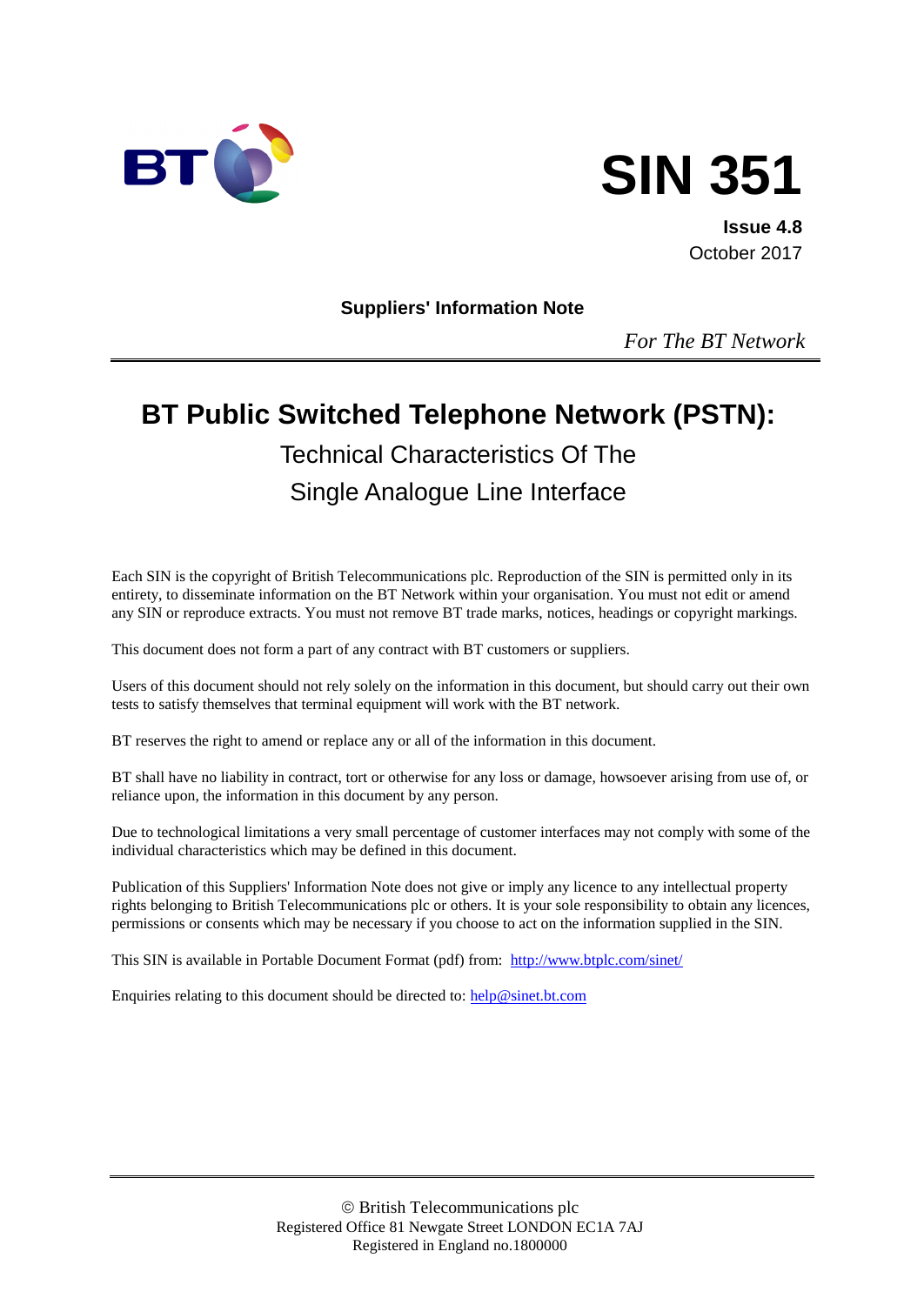



**Issue 4.8** October 2017

**Suppliers' Information Note**

*For The BT Network*

# **BT Public Switched Telephone Network (PSTN):** Technical Characteristics Of The Single Analogue Line Interface

Each SIN is the copyright of British Telecommunications plc. Reproduction of the SIN is permitted only in its entirety, to disseminate information on the BT Network within your organisation. You must not edit or amend any SIN or reproduce extracts. You must not remove BT trade marks, notices, headings or copyright markings.

This document does not form a part of any contract with BT customers or suppliers.

Users of this document should not rely solely on the information in this document, but should carry out their own tests to satisfy themselves that terminal equipment will work with the BT network.

BT reserves the right to amend or replace any or all of the information in this document.

BT shall have no liability in contract, tort or otherwise for any loss or damage, howsoever arising from use of, or reliance upon, the information in this document by any person.

Due to technological limitations a very small percentage of customer interfaces may not comply with some of the individual characteristics which may be defined in this document.

Publication of this Suppliers' Information Note does not give or imply any licence to any intellectual property rights belonging to British Telecommunications plc or others. It is your sole responsibility to obtain any licences, permissions or consents which may be necessary if you choose to act on the information supplied in the SIN.

This SIN is available in Portable Document Format (pdf) from: <http://www.btplc.com/sinet/>

Enquiries relating to this document should be directed to:  $\frac{help@sinet.bt.com}{$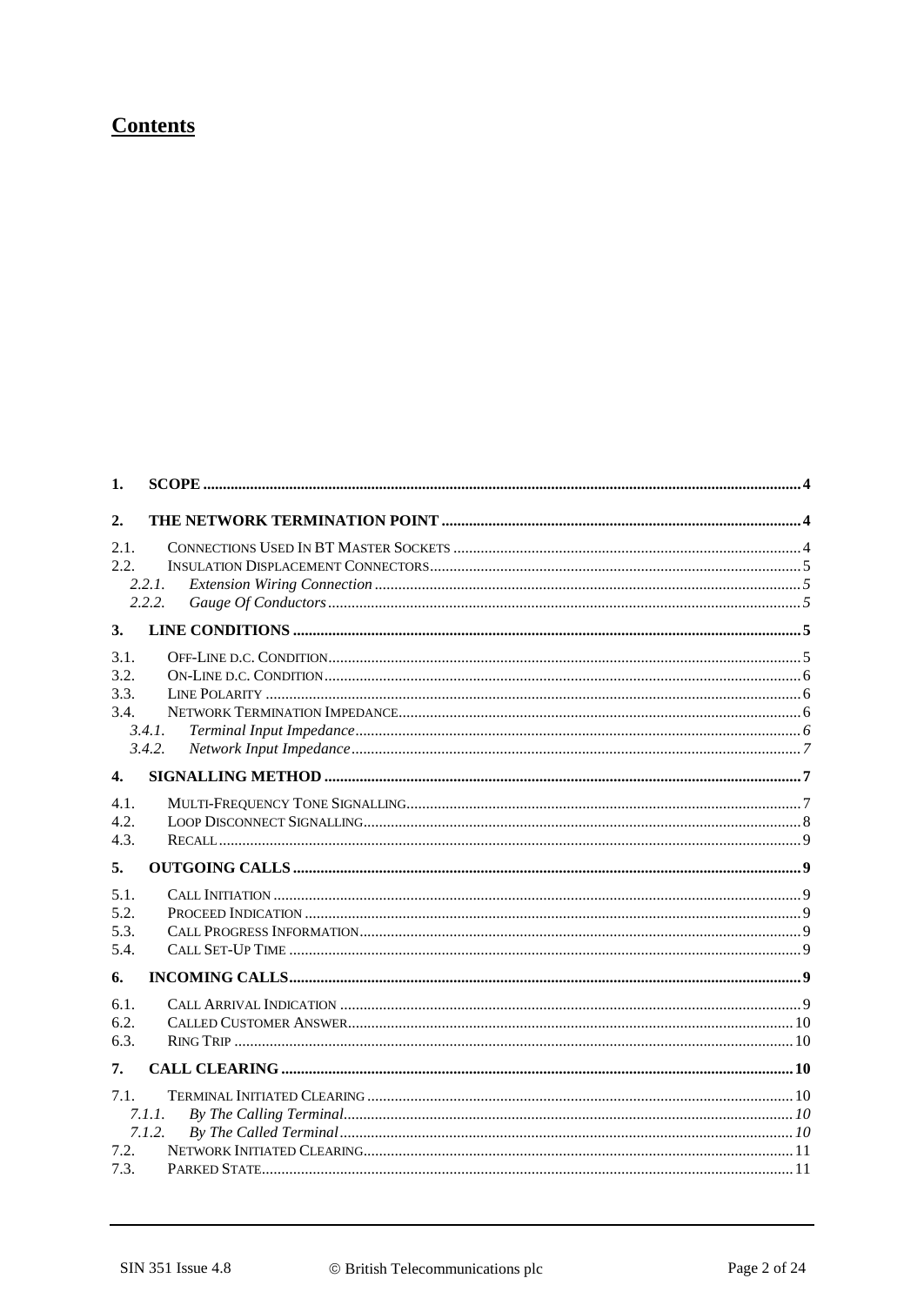# **Contents**

| 1.                           |                  |  |
|------------------------------|------------------|--|
| 2.                           |                  |  |
| 2.1.<br>2.2.                 | 2.2.1.<br>2.2.2. |  |
| 3.                           |                  |  |
| 3.1.<br>3.2.<br>3.3.<br>3.4. | 3.4.1<br>3.4.2.  |  |
| $\mathbf{4}$                 |                  |  |
| 4.1.<br>4.2.<br>4.3.         |                  |  |
| 5.                           |                  |  |
| 5.1.<br>5.2.<br>5.3.<br>5.4. |                  |  |
| 6.                           |                  |  |
| 6.1.<br>6.2.<br>6.3.         |                  |  |
| 7.                           |                  |  |
| 7.1.<br>7.2.<br>7.3.         | 7.1.1.<br>7.1.2. |  |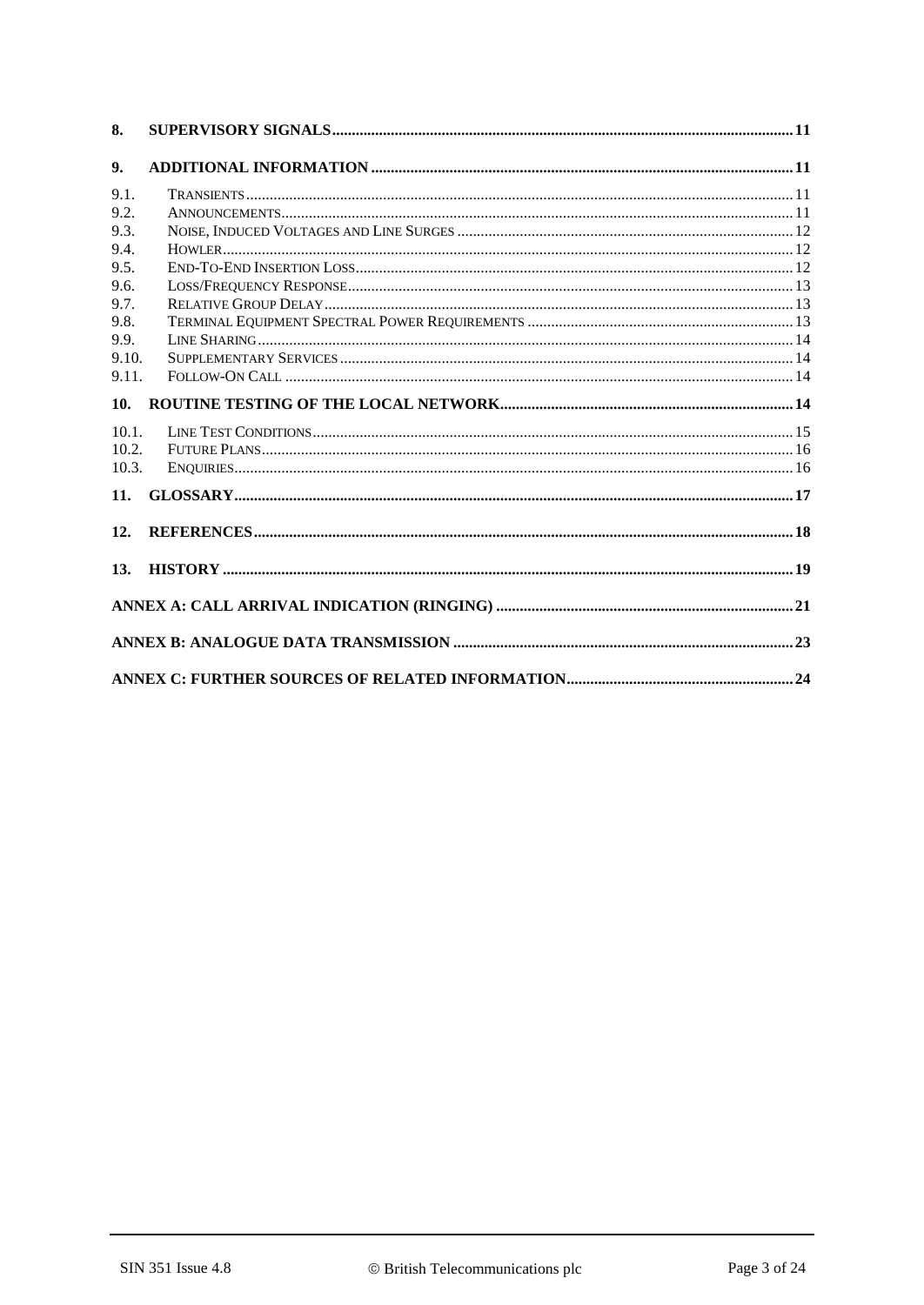| 8.    |  |
|-------|--|
| 9.    |  |
| 9.1.  |  |
| 9.2.  |  |
| 9.3.  |  |
| 9.4.  |  |
| 9.5.  |  |
| 9.6.  |  |
| 9.7.  |  |
| 9.8.  |  |
| 9.9.  |  |
| 9.10. |  |
| 9.11. |  |
| 10.   |  |
| 10.1. |  |
| 10.2. |  |
| 10.3. |  |
| 11.   |  |
| 12.   |  |
| 13.   |  |
|       |  |
|       |  |
|       |  |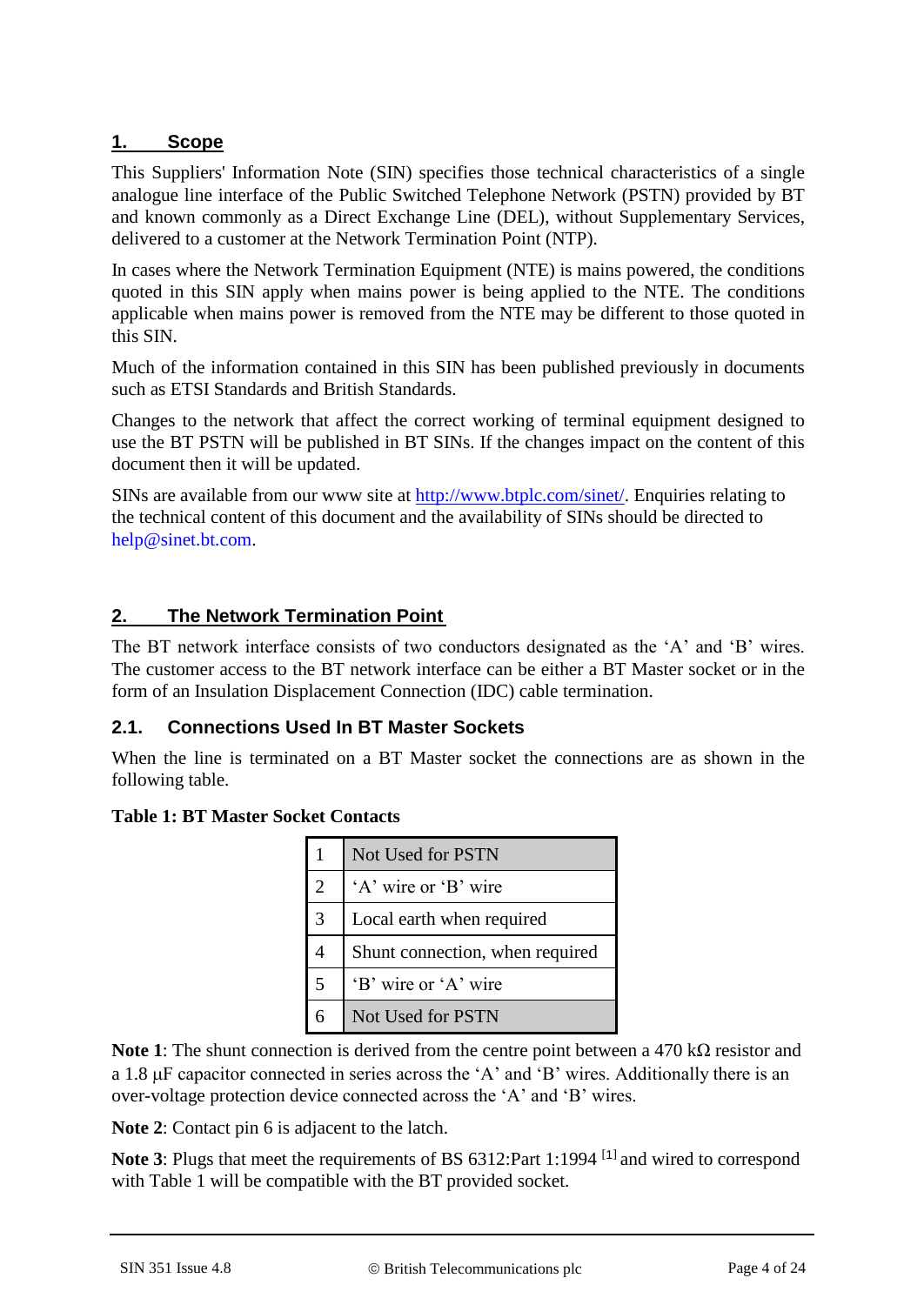#### **1. Scope**

This Suppliers' Information Note (SIN) specifies those technical characteristics of a single analogue line interface of the Public Switched Telephone Network (PSTN) provided by BT and known commonly as a Direct Exchange Line (DEL), without Supplementary Services, delivered to a customer at the Network Termination Point (NTP).

In cases where the Network Termination Equipment (NTE) is mains powered, the conditions quoted in this SIN apply when mains power is being applied to the NTE. The conditions applicable when mains power is removed from the NTE may be different to those quoted in this SIN.

Much of the information contained in this SIN has been published previously in documents such as ETSI Standards and British Standards.

Changes to the network that affect the correct working of terminal equipment designed to use the BT PSTN will be published in BT SINs. If the changes impact on the content of this document then it will be updated.

SINs are available from our www site at [http://www.btplc.com/sinet/.](http://www.btplc.com/sinet/) Enquiries relating to the technical content of this document and the availability of SINs should be directed to [help@sinet.bt.com.](mailto:help@sinet.bt.com)

## **2. The Network Termination Point**

The BT network interface consists of two conductors designated as the 'A' and 'B' wires. The customer access to the BT network interface can be either a BT Master socket or in the form of an Insulation Displacement Connection (IDC) cable termination.

#### **2.1. Connections Used In BT Master Sockets**

When the line is terminated on a BT Master socket the connections are as shown in the following table.

|                | Not Used for PSTN               |
|----------------|---------------------------------|
| $\overline{2}$ | 'A' wire or 'B' wire            |
| 3              | Local earth when required       |
| 4              | Shunt connection, when required |
| 5              | 'B' wire or 'A' wire            |
|                | Not Used for PSTN               |

**Table 1: BT Master Socket Contacts**

**Note 1**: The shunt connection is derived from the centre point between a 470 kΩ resistor and a 1.8  $\mu$ F capacitor connected in series across the 'A' and 'B' wires. Additionally there is an over-voltage protection device connected across the 'A' and 'B' wires.

**Note 2**: Contact pin 6 is adjacent to the latch.

**Note 3**: Plugs that meet the requirements of BS 63[1](#page-17-0)2:Part 1:1994<sup>[1]</sup> and wired to correspond with Table 1 will be compatible with the BT provided socket.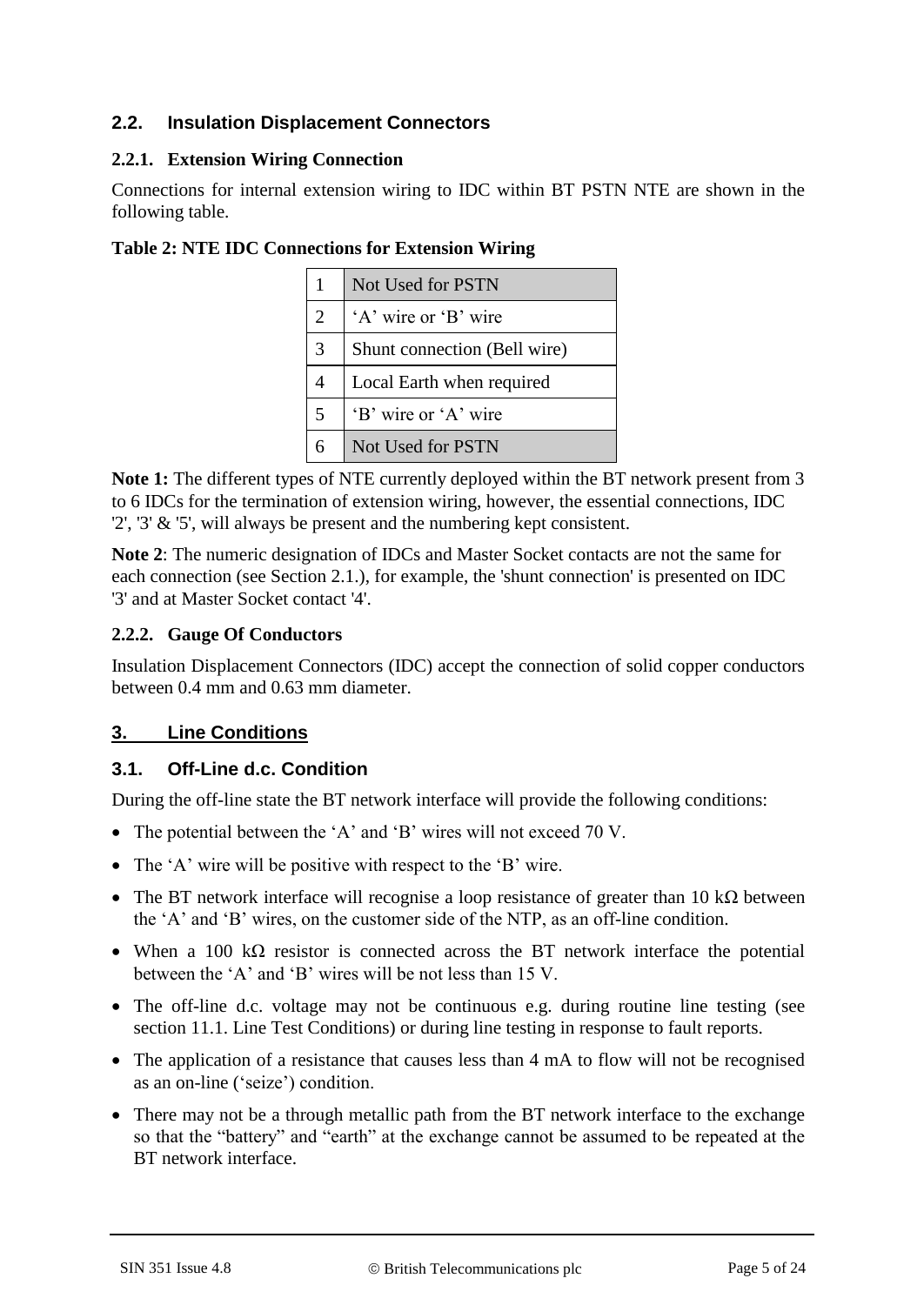## **2.2. Insulation Displacement Connectors**

#### **2.2.1. Extension Wiring Connection**

Connections for internal extension wiring to IDC within BT PSTN NTE are shown in the following table.

|                | Not Used for PSTN            |
|----------------|------------------------------|
| $\overline{2}$ | 'A' wire or 'B' wire         |
| 3              | Shunt connection (Bell wire) |
| 4              | Local Earth when required    |
| 5              | 'B' wire or 'A' wire         |
|                | Not Used for PSTN            |

**Table 2: NTE IDC Connections for Extension Wiring**

**Note 1:** The different types of NTE currently deployed within the BT network present from 3 to 6 IDCs for the termination of extension wiring, however, the essential connections, IDC '2', '3' & '5', will always be present and the numbering kept consistent.

**Note 2**: The numeric designation of IDCs and Master Socket contacts are not the same for each connection (see Section 2.1.), for example, the 'shunt connection' is presented on IDC '3' and at Master Socket contact '4'.

## **2.2.2. Gauge Of Conductors**

Insulation Displacement Connectors (IDC) accept the connection of solid copper conductors between 0.4 mm and 0.63 mm diameter.

## **3. Line Conditions**

## **3.1. Off-Line d.c. Condition**

During the off-line state the BT network interface will provide the following conditions:

- The potential between the 'A' and 'B' wires will not exceed 70 V.
- The 'A' wire will be positive with respect to the 'B' wire.
- The BT network interface will recognise a loop resistance of greater than 10 k $\Omega$  between the 'A' and 'B' wires, on the customer side of the NTP, as an off-line condition.
- When a 100 k $\Omega$  resistor is connected across the BT network interface the potential between the 'A' and 'B' wires will be not less than 15 V.
- The off-line d.c. voltage may not be continuous e.g. during routine line testing (see section 11.1. Line Test Conditions) or during line testing in response to fault reports.
- The application of a resistance that causes less than 4 mA to flow will not be recognised as an on-line ('seize') condition.
- There may not be a through metallic path from the BT network interface to the exchange so that the "battery" and "earth" at the exchange cannot be assumed to be repeated at the BT network interface.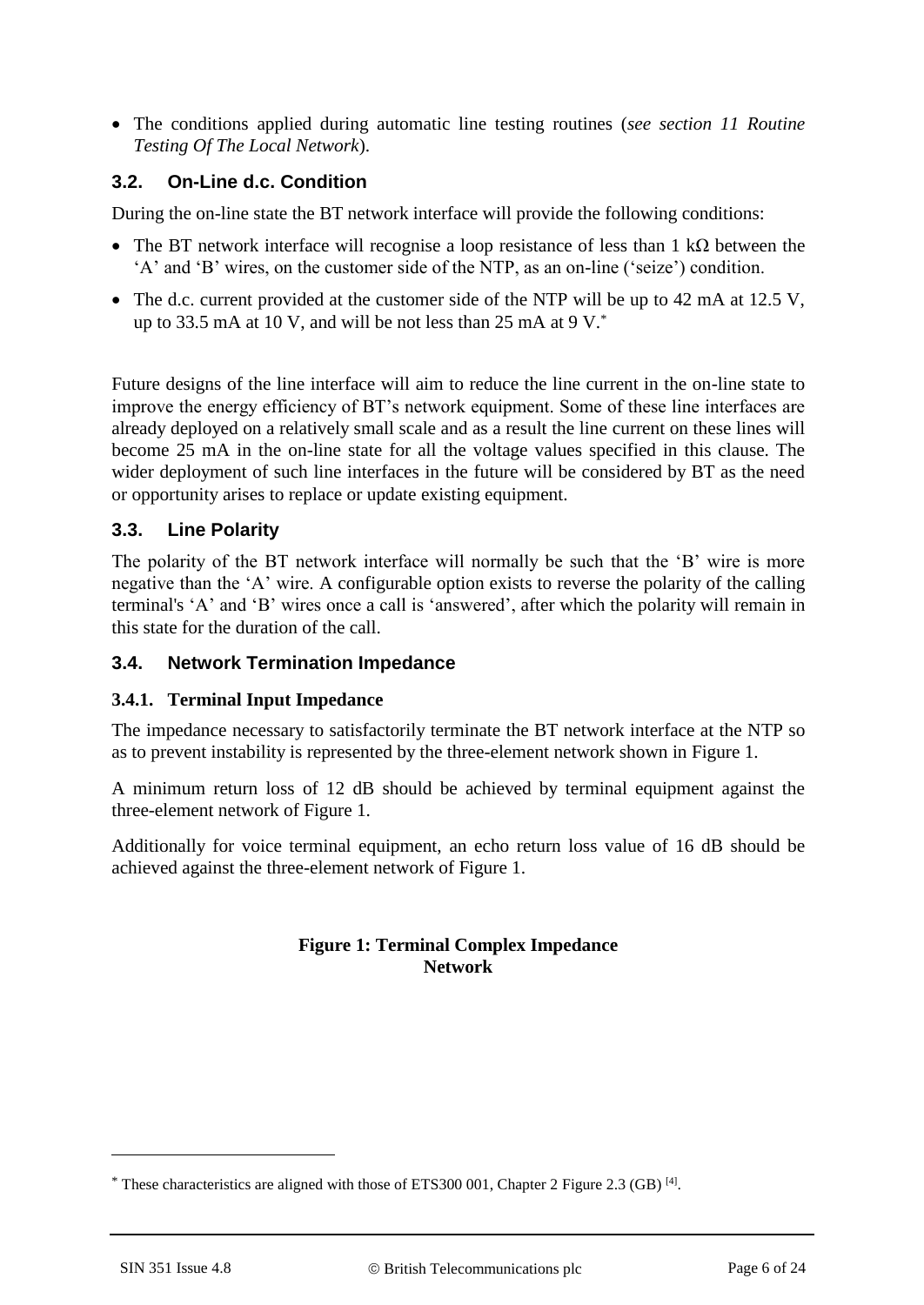The conditions applied during automatic line testing routines (*see section 11 Routine Testing Of The Local Network*).

## **3.2. On-Line d.c. Condition**

During the on-line state the BT network interface will provide the following conditions:

- The BT network interface will recognise a loop resistance of less than 1 kΩ between the 'A' and 'B' wires, on the customer side of the NTP, as an on-line ('seize') condition.
- $\bullet$  The d.c. current provided at the customer side of the NTP will be up to 42 mA at 12.5 V, up to 33.5 mA at 10 V, and will be not less than 25 mA at 9 V. $^*$

Future designs of the line interface will aim to reduce the line current in the on-line state to improve the energy efficiency of BT's network equipment. Some of these line interfaces are already deployed on a relatively small scale and as a result the line current on these lines will become 25 mA in the on-line state for all the voltage values specified in this clause. The wider deployment of such line interfaces in the future will be considered by BT as the need or opportunity arises to replace or update existing equipment.

#### **3.3. Line Polarity**

The polarity of the BT network interface will normally be such that the 'B' wire is more negative than the 'A' wire. A configurable option exists to reverse the polarity of the calling terminal's 'A' and 'B' wires once a call is 'answered', after which the polarity will remain in this state for the duration of the call.

#### **3.4. Network Termination Impedance**

#### **3.4.1. Terminal Input Impedance**

The impedance necessary to satisfactorily terminate the BT network interface at the NTP so as to prevent instability is represented by the three-element network shown in Figure 1.

A minimum return loss of 12 dB should be achieved by terminal equipment against the three-element network of Figure 1.

Additionally for voice terminal equipment, an echo return loss value of 16 dB should be achieved against the three-element network of Figure 1.

#### **Figure 1: Terminal Complex Impedance Network**

1

 $*$  These characteristics are aligned with those of ETS300 001, Chapter 2 Figure 2.3 (GB)  $^{[4]}$  $^{[4]}$  $^{[4]}$ .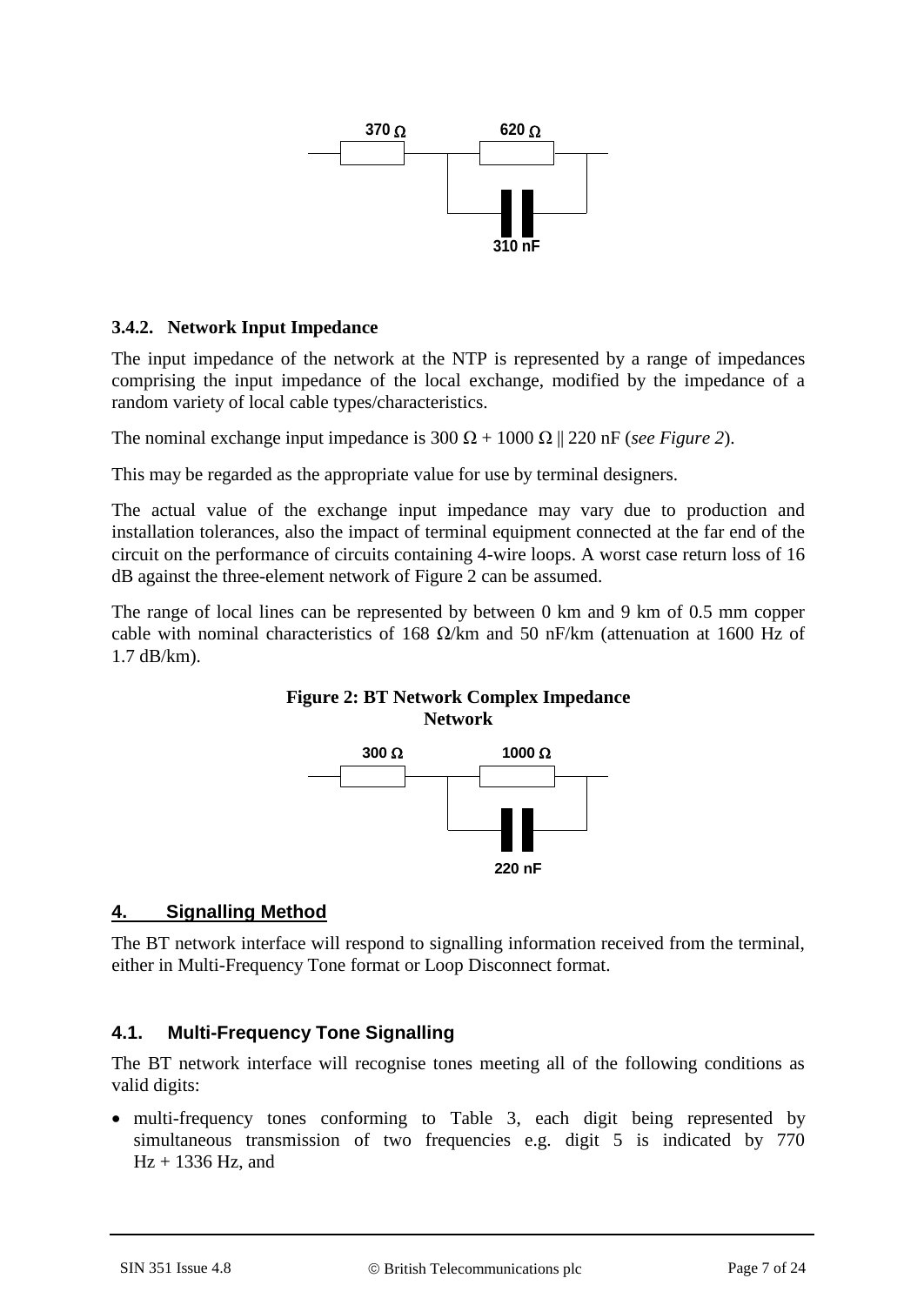

#### **3.4.2. Network Input Impedance**

The input impedance of the network at the NTP is represented by a range of impedances comprising the input impedance of the local exchange, modified by the impedance of a random variety of local cable types/characteristics.

The nominal exchange input impedance is  $300 \Omega + 1000 \Omega$  || 220 nF (*see Figure 2*).

This may be regarded as the appropriate value for use by terminal designers.

The actual value of the exchange input impedance may vary due to production and installation tolerances, also the impact of terminal equipment connected at the far end of the circuit on the performance of circuits containing 4-wire loops. A worst case return loss of 16 dB against the three-element network of Figure 2 can be assumed.

The range of local lines can be represented by between 0 km and 9 km of 0.5 mm copper cable with nominal characteristics of 168  $\Omega$ /km and 50 nF/km (attenuation at 1600 Hz of 1.7 dB/km).

**Figure 2: BT Network Complex Impedance Network**



## **4. Signalling Method**

The BT network interface will respond to signalling information received from the terminal, either in Multi-Frequency Tone format or Loop Disconnect format.

## **4.1. Multi-Frequency Tone Signalling**

The BT network interface will recognise tones meeting all of the following conditions as valid digits:

• multi-frequency tones conforming to Table 3, each digit being represented by simultaneous transmission of two frequencies e.g. digit 5 is indicated by 770  $Hz + 1336 Hz$ , and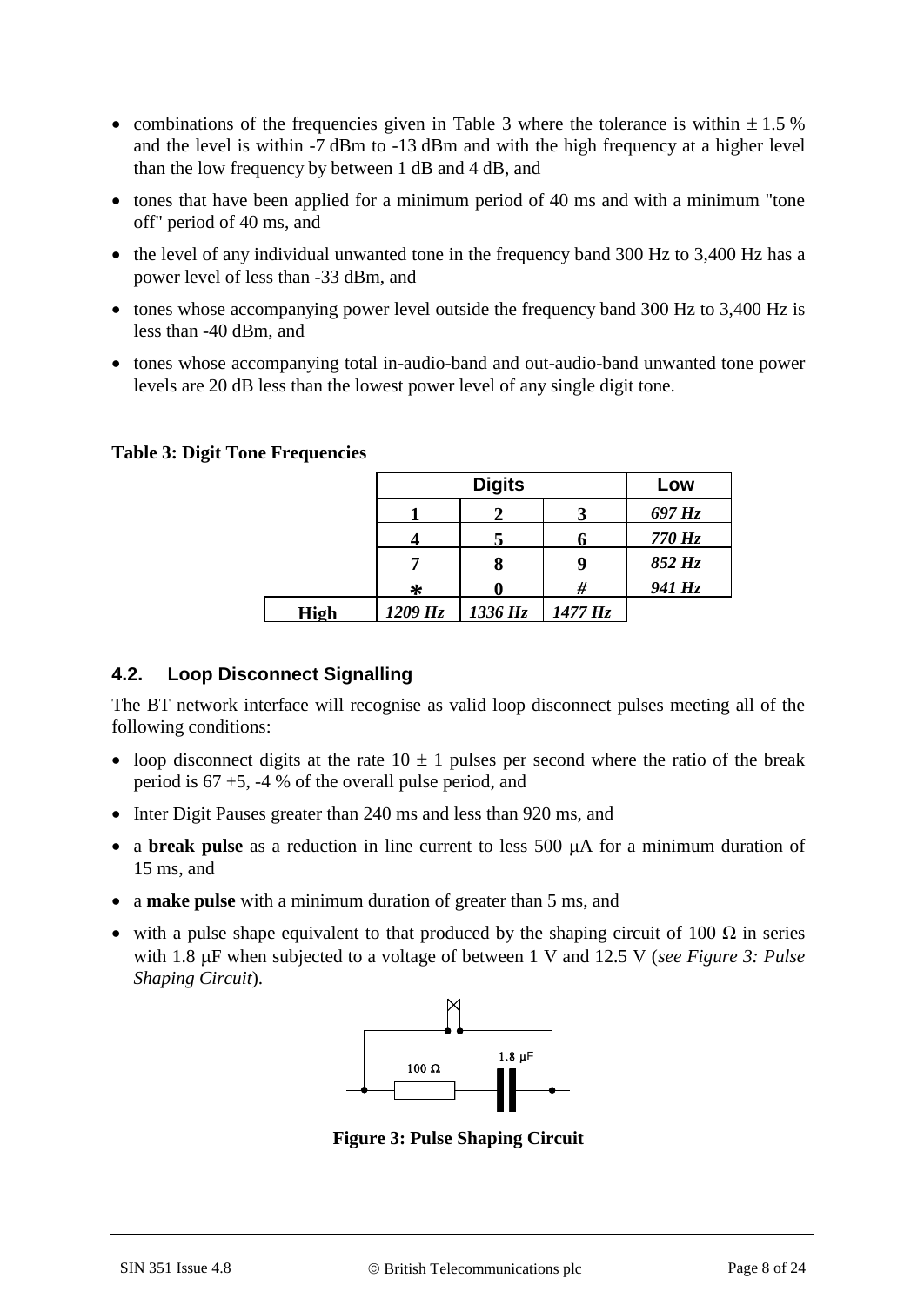- combinations of the frequencies given in Table 3 where the tolerance is within  $\pm 1.5$  % and the level is within -7 dBm to -13 dBm and with the high frequency at a higher level than the low frequency by between 1 dB and 4 dB, and
- tones that have been applied for a minimum period of 40 ms and with a minimum "tone off" period of 40 ms, and
- the level of any individual unwanted tone in the frequency band 300 Hz to 3,400 Hz has a power level of less than -33 dBm, and
- tones whose accompanying power level outside the frequency band 300 Hz to 3,400 Hz is less than -40 dBm, and
- tones whose accompanying total in-audio-band and out-audio-band unwanted tone power levels are 20 dB less than the lowest power level of any single digit tone.

**Table 3: Digit Tone Frequencies**

|             |            | <b>Digits</b> |            | Low        |
|-------------|------------|---------------|------------|------------|
|             |            |               |            | 697 Hz     |
|             |            |               |            | $770\,$ Hz |
|             |            |               |            | 852 Hz     |
|             | ∗          |               | #          | 941 Hz     |
| <b>High</b> | $1209\,Hz$ | 1336 Hz       | $1477\,Hz$ |            |

## **4.2. Loop Disconnect Signalling**

The BT network interface will recognise as valid loop disconnect pulses meeting all of the following conditions:

- loop disconnect digits at the rate  $10 \pm 1$  pulses per second where the ratio of the break period is 67 +5, -4 % of the overall pulse period, and
- Inter Digit Pauses greater than 240 ms and less than 920 ms, and
- a **break pulse** as a reduction in line current to less 500  $\mu$ A for a minimum duration of 15 ms, and
- a **make pulse** with a minimum duration of greater than 5 ms, and
- with a pulse shape equivalent to that produced by the shaping circuit of 100  $\Omega$  in series with 1.8  $\mu$ F when subjected to a voltage of between 1 V and 12.5 V (*see Figure 3: Pulse Shaping Circuit*).



**Figure 3: Pulse Shaping Circuit**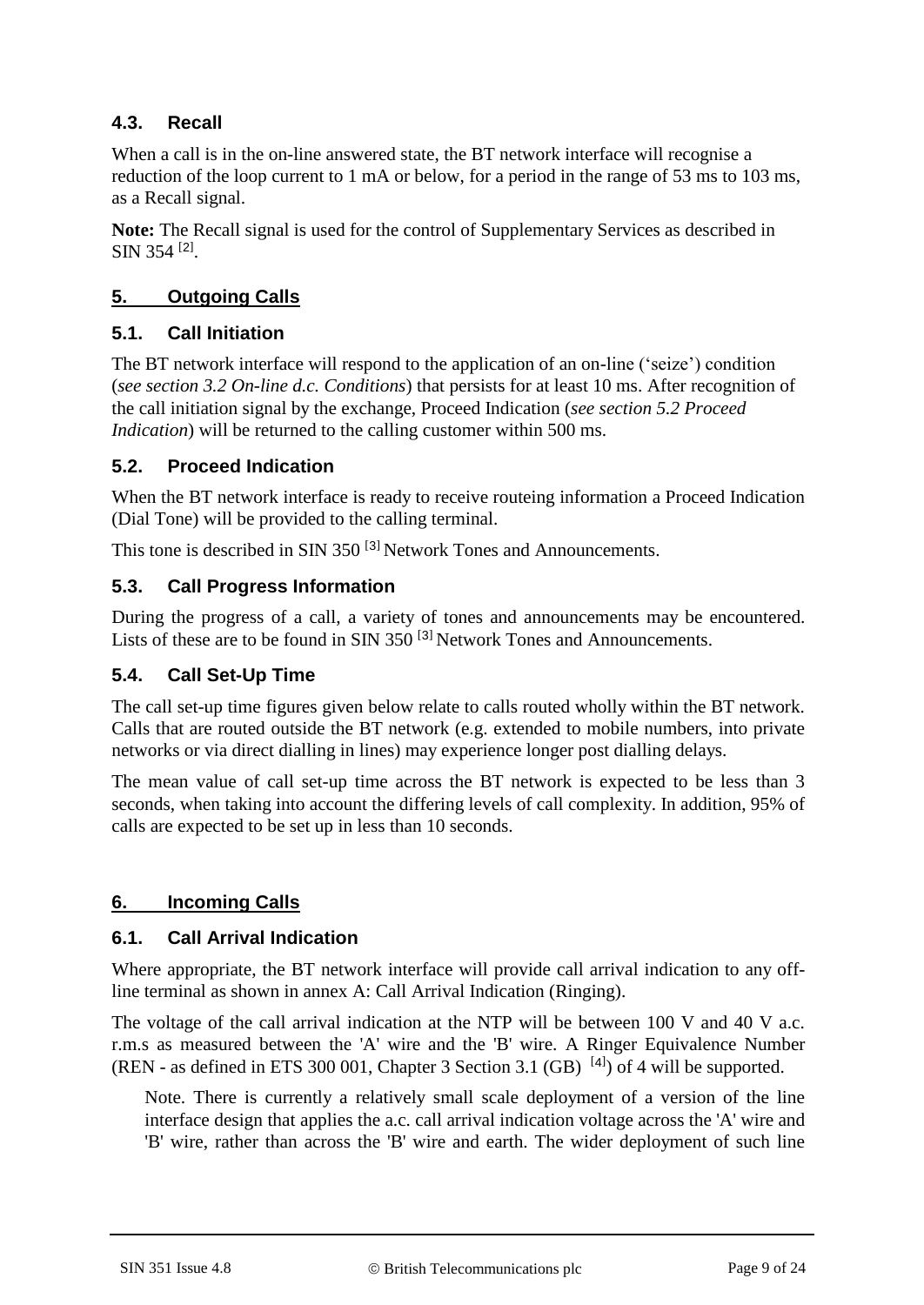## **4.3. Recall**

When a call is in the on-line answered state, the BT network interface will recognise a reduction of the loop current to 1 mA or below, for a period in the range of 53 ms to 103 ms, as a Recall signal.

**Note:** The Recall signal is used for the control of Supplementary Services as described in SIN 354<sup>[[2](#page-17-2)]</sup>.

## **5. Outgoing Calls**

## **5.1. Call Initiation**

The BT network interface will respond to the application of an on-line ('seize') condition (*see section 3.2 On-line d.c. Conditions*) that persists for at least 10 ms. After recognition of the call initiation signal by the exchange, Proceed Indication (*see section 5.2 Proceed Indication*) will be returned to the calling customer within 500 ms.

#### **5.2. Proceed Indication**

When the BT network interface is ready to receive routeing information a Proceed Indication (Dial Tone) will be provided to the calling terminal.

This tone is described in SIN [3](#page-17-3)50<sup>[3]</sup> Network Tones and Announcements.

#### **5.3. Call Progress Information**

During the progress of a call, a variety of tones and announcements may be encountered. Lists of these are to be found in SIN [3](#page-17-3)50  $^{[3]}$  Network Tones and Announcements.

#### **5.4. Call Set-Up Time**

The call set-up time figures given below relate to calls routed wholly within the BT network. Calls that are routed outside the BT network (e.g. extended to mobile numbers, into private networks or via direct dialling in lines) may experience longer post dialling delays.

The mean value of call set-up time across the BT network is expected to be less than 3 seconds, when taking into account the differing levels of call complexity. In addition, 95% of calls are expected to be set up in less than 10 seconds.

## **6. Incoming Calls**

#### **6.1. Call Arrival Indication**

Where appropriate, the BT network interface will provide call arrival indication to any offline terminal as shown in annex A: Call Arrival Indication (Ringing).

The voltage of the call arrival indication at the NTP will be between 100 V and 40 V a.c. r.m.s as measured between the 'A' wire and the 'B' wire. A Ringer Equivalence Number (REN - as defined in ETS 300 001, Chapter 3 Section 3.1 (GB)  $[4]$  $[4]$  $[4]$ ) of 4 will be supported.

Note. There is currently a relatively small scale deployment of a version of the line interface design that applies the a.c. call arrival indication voltage across the 'A' wire and 'B' wire, rather than across the 'B' wire and earth. The wider deployment of such line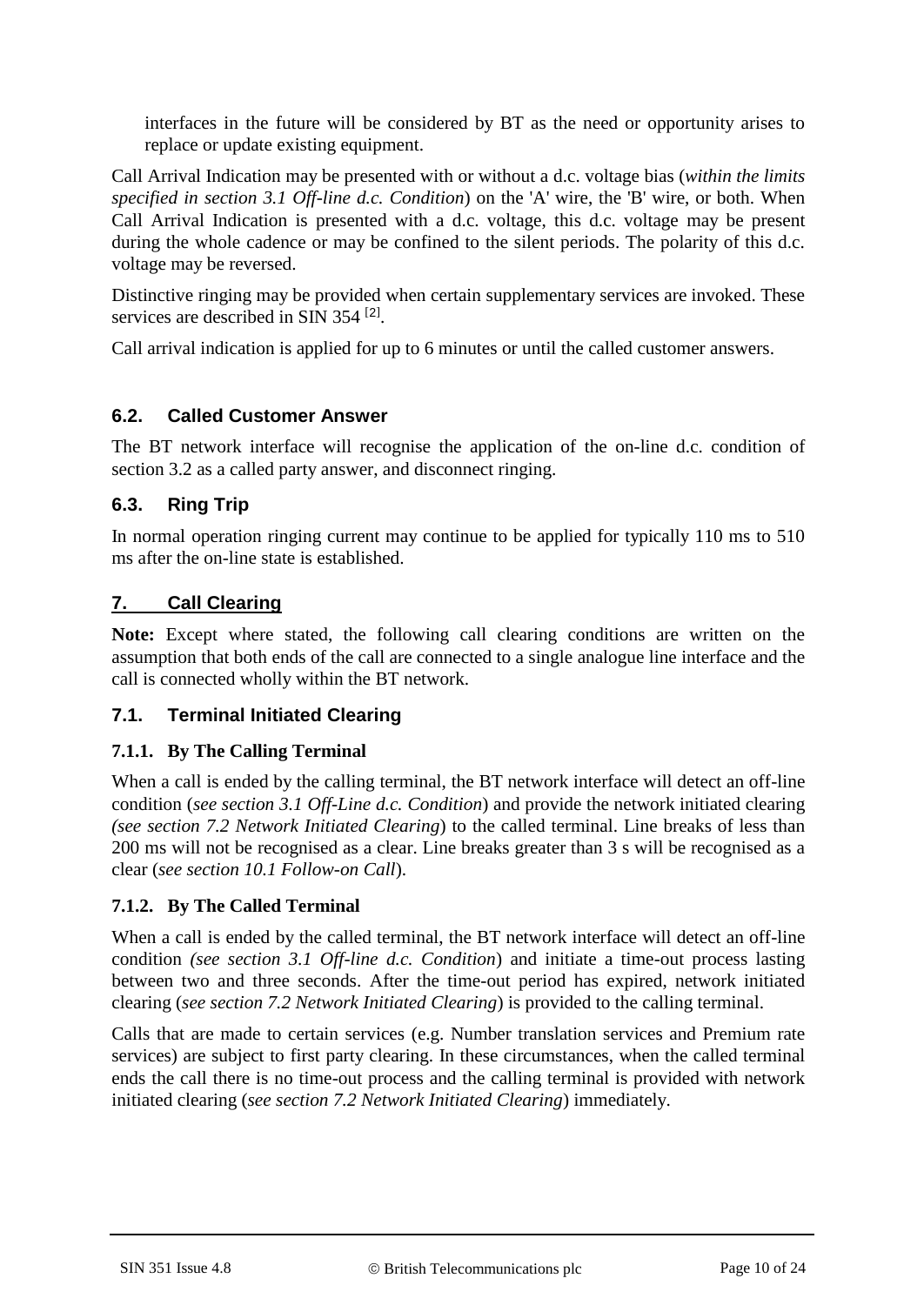interfaces in the future will be considered by BT as the need or opportunity arises to replace or update existing equipment.

Call Arrival Indication may be presented with or without a d.c. voltage bias (*within the limits specified in section 3.1 Off-line d.c. Condition*) on the 'A' wire, the 'B' wire, or both. When Call Arrival Indication is presented with a d.c. voltage, this d.c. voltage may be present during the whole cadence or may be confined to the silent periods. The polarity of this d.c. voltage may be reversed.

Distinctive ringing may be provided when certain supplementary services are invoked. These services are described in SIN 354<sup>[[2](#page-17-2)]</sup>.

Call arrival indication is applied for up to 6 minutes or until the called customer answers.

## **6.2. Called Customer Answer**

The BT network interface will recognise the application of the on-line d.c. condition of section 3.2 as a called party answer, and disconnect ringing.

## **6.3. Ring Trip**

In normal operation ringing current may continue to be applied for typically 110 ms to 510 ms after the on-line state is established.

## **7. Call Clearing**

**Note:** Except where stated, the following call clearing conditions are written on the assumption that both ends of the call are connected to a single analogue line interface and the call is connected wholly within the BT network.

#### **7.1. Terminal Initiated Clearing**

#### **7.1.1. By The Calling Terminal**

When a call is ended by the calling terminal, the BT network interface will detect an off-line condition (*see section 3.1 Off-Line d.c. Condition*) and provide the network initiated clearing *(see section 7.2 Network Initiated Clearing*) to the called terminal. Line breaks of less than 200 ms will not be recognised as a clear. Line breaks greater than 3 s will be recognised as a clear (*see section 10.1 Follow-on Call*).

## **7.1.2. By The Called Terminal**

When a call is ended by the called terminal, the BT network interface will detect an off-line condition *(see section 3.1 Off-line d.c. Condition*) and initiate a time-out process lasting between two and three seconds. After the time-out period has expired, network initiated clearing (*see section 7.2 Network Initiated Clearing*) is provided to the calling terminal.

Calls that are made to certain services (e.g. Number translation services and Premium rate services) are subject to first party clearing. In these circumstances, when the called terminal ends the call there is no time-out process and the calling terminal is provided with network initiated clearing (*see section 7.2 Network Initiated Clearing*) immediately.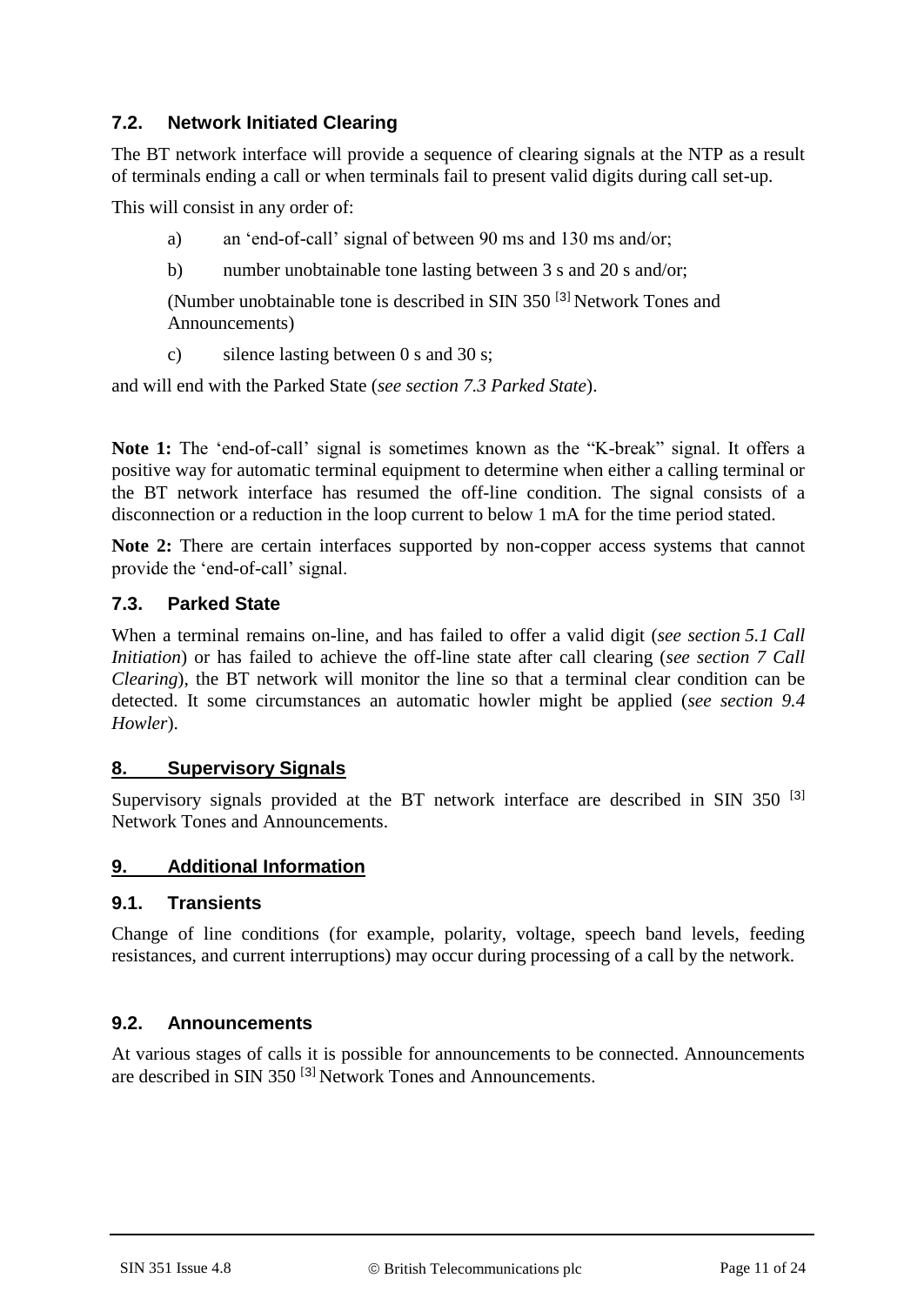## **7.2. Network Initiated Clearing**

The BT network interface will provide a sequence of clearing signals at the NTP as a result of terminals ending a call or when terminals fail to present valid digits during call set-up.

This will consist in any order of:

- a) an 'end-of-call' signal of between 90 ms and 130 ms and/or;
- b) number unobtainable tone lasting between 3 s and 20 s and/or;

(Number unobtainable tone is described in SIN 350 [[3](#page-17-3)] Network Tones and Announcements)

c) silence lasting between 0 s and 30 s;

and will end with the Parked State (*see section 7.3 Parked State*).

**Note 1:** The 'end-of-call' signal is sometimes known as the "K-break" signal. It offers a positive way for automatic terminal equipment to determine when either a calling terminal or the BT network interface has resumed the off-line condition. The signal consists of a disconnection or a reduction in the loop current to below 1 mA for the time period stated.

**Note 2:** There are certain interfaces supported by non-copper access systems that cannot provide the 'end-of-call' signal.

#### **7.3. Parked State**

When a terminal remains on-line, and has failed to offer a valid digit (*see section 5.1 Call Initiation*) or has failed to achieve the off-line state after call clearing (*see section 7 Call Clearing*), the BT network will monitor the line so that a terminal clear condition can be detected. It some circumstances an automatic howler might be applied (*see section 9.4 Howler*).

#### **8. Supervisory Signals**

Supervisory signals provided at the BT network interface are described in SIN [3](#page-17-3)50<sup>[3]</sup> Network Tones and Announcements.

## **9. Additional Information**

#### **9.1. Transients**

Change of line conditions (for example, polarity, voltage, speech band levels, feeding resistances, and current interruptions) may occur during processing of a call by the network.

## **9.2. Announcements**

At various stages of calls it is possible for announcements to be connected. Announcements are described in SIN [3](#page-17-3)50<sup>[3]</sup> Network Tones and Announcements.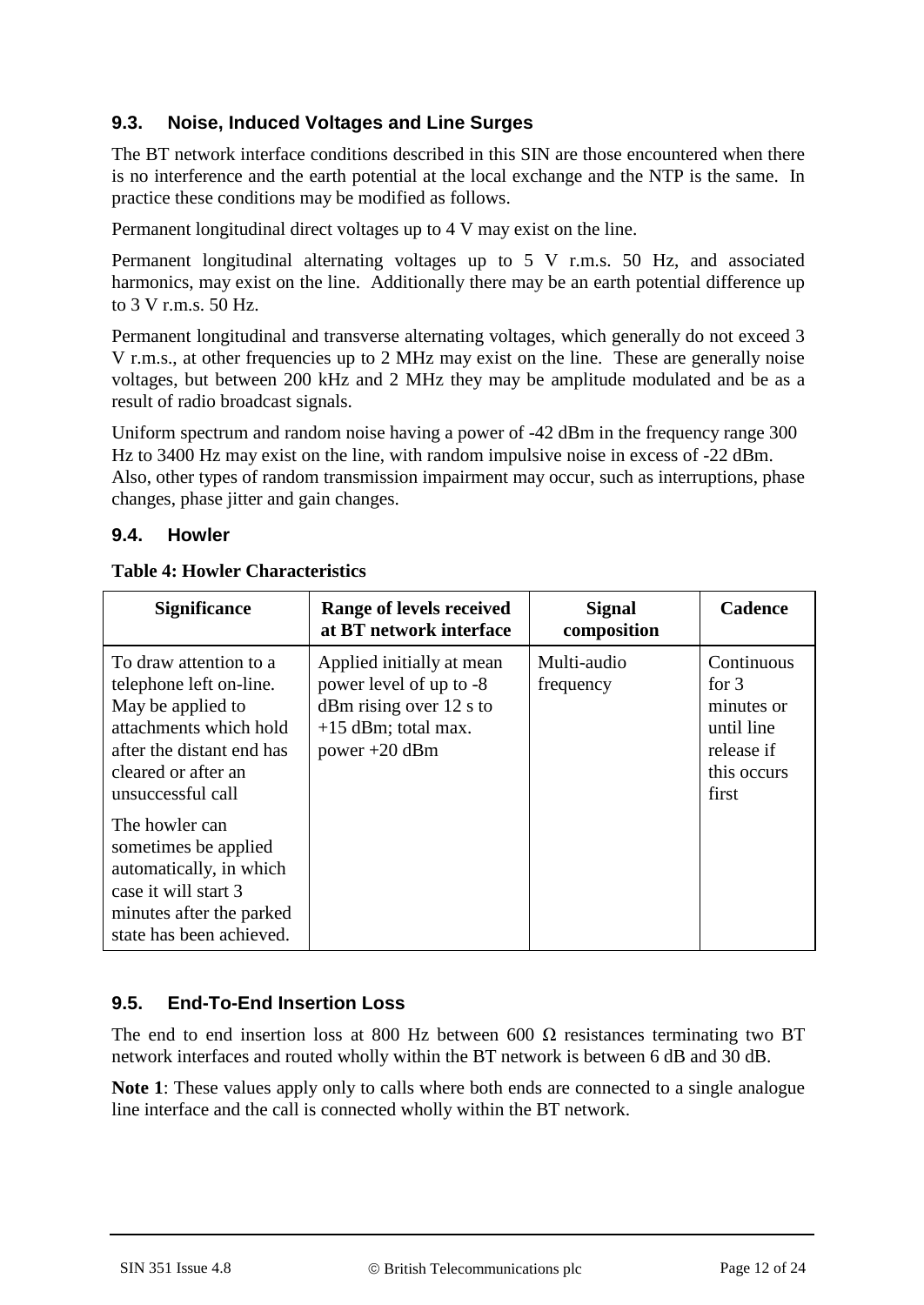## **9.3. Noise, Induced Voltages and Line Surges**

The BT network interface conditions described in this SIN are those encountered when there is no interference and the earth potential at the local exchange and the NTP is the same. In practice these conditions may be modified as follows.

Permanent longitudinal direct voltages up to 4 V may exist on the line.

Permanent longitudinal alternating voltages up to 5 V r.m.s. 50 Hz, and associated harmonics, may exist on the line. Additionally there may be an earth potential difference up to 3 V r.m.s. 50 Hz.

Permanent longitudinal and transverse alternating voltages, which generally do not exceed 3 V r.m.s., at other frequencies up to 2 MHz may exist on the line. These are generally noise voltages, but between 200 kHz and 2 MHz they may be amplitude modulated and be as a result of radio broadcast signals.

Uniform spectrum and random noise having a power of -42 dBm in the frequency range 300 Hz to 3400 Hz may exist on the line, with random impulsive noise in excess of -22 dBm. Also, other types of random transmission impairment may occur, such as interruptions, phase changes, phase jitter and gain changes.

#### **9.4. Howler**

| <b>Significance</b>                                                                                                                                                       | Range of levels received<br>at BT network interface                                                                           | <b>Signal</b><br>composition | <b>Cadence</b>                                                                          |
|---------------------------------------------------------------------------------------------------------------------------------------------------------------------------|-------------------------------------------------------------------------------------------------------------------------------|------------------------------|-----------------------------------------------------------------------------------------|
| To draw attention to a<br>telephone left on-line.<br>May be applied to<br>attachments which hold<br>after the distant end has<br>cleared or after an<br>unsuccessful call | Applied initially at mean<br>power level of up to -8<br>$dBm$ rising over 12 s to<br>$+15$ dBm; total max.<br>power $+20$ dBm | Multi-audio<br>frequency     | Continuous<br>for $3$<br>minutes or<br>until line<br>release if<br>this occurs<br>first |
| The howler can<br>sometimes be applied<br>automatically, in which<br>case it will start 3<br>minutes after the parked<br>state has been achieved.                         |                                                                                                                               |                              |                                                                                         |

#### **Table 4: Howler Characteristics**

## **9.5. End-To-End Insertion Loss**

The end to end insertion loss at 800 Hz between 600  $\Omega$  resistances terminating two BT network interfaces and routed wholly within the BT network is between 6 dB and 30 dB.

**Note 1**: These values apply only to calls where both ends are connected to a single analogue line interface and the call is connected wholly within the BT network.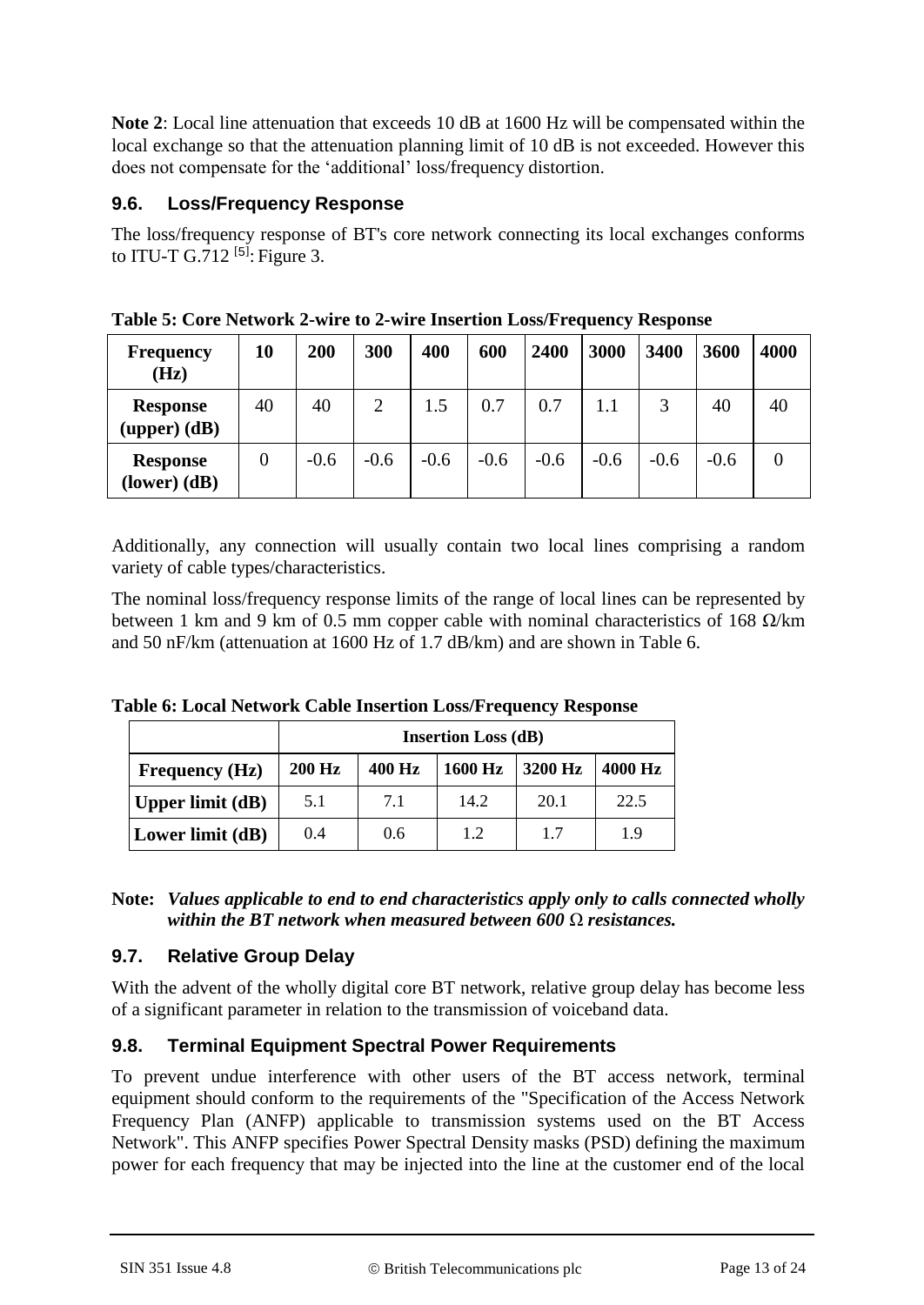**Note 2**: Local line attenuation that exceeds 10 dB at 1600 Hz will be compensated within the local exchange so that the attenuation planning limit of 10 dB is not exceeded. However this does not compensate for the 'additional' loss/frequency distortion.

## **9.6. Loss/Frequency Response**

The loss/frequency response of BT's core network connecting its local exchanges conforms to ITU-T G.712 $^{[5]}$  $^{[5]}$  $^{[5]}$ : Figure 3.

| <b>Frequency</b><br>(Hz)            | 10             | 200    | 300            | 400    | 600    | 2400   | 3000   | 3400   | 3600   | 4000 |
|-------------------------------------|----------------|--------|----------------|--------|--------|--------|--------|--------|--------|------|
| <b>Response</b><br>$(upper)$ $(dB)$ | 40             | 40     | $\overline{2}$ | 1.5    | 0.7    | 0.7    |        |        | 40     | 40   |
| <b>Response</b><br>$lower$ $dB$     | $\overline{0}$ | $-0.6$ | $-0.6$         | $-0.6$ | $-0.6$ | $-0.6$ | $-0.6$ | $-0.6$ | $-0.6$ |      |

**Table 5: Core Network 2-wire to 2-wire Insertion Loss/Frequency Response**

Additionally, any connection will usually contain two local lines comprising a random variety of cable types/characteristics.

The nominal loss/frequency response limits of the range of local lines can be represented by between 1 km and 9 km of 0.5 mm copper cable with nominal characteristics of 168  $\Omega$ /km and 50 nF/km (attenuation at 1600 Hz of 1.7 dB/km) and are shown in Table 6.

|                       |               | <b>Insertion Loss (dB)</b> |         |         |         |  |
|-----------------------|---------------|----------------------------|---------|---------|---------|--|
| <b>Frequency (Hz)</b> | <b>200 Hz</b> | 400 Hz                     | 1600 Hz | 3200 Hz | 4000 Hz |  |
| Upper limit $(dB)$    | 5.1           | 7.1                        | 14.2    | 20.1    | 22.5    |  |
| Lower limit (dB)      | 0.4           | 0.6                        | 1.2     | 17      | 19      |  |

**Table 6: Local Network Cable Insertion Loss/Frequency Response**

| Note: Values applicable to end to end characteristics apply only to calls connected wholly |
|--------------------------------------------------------------------------------------------|
| within the BT network when measured between 600 $\Omega$ resistances.                      |

## **9.7. Relative Group Delay**

With the advent of the wholly digital core BT network, relative group delay has become less of a significant parameter in relation to the transmission of voiceband data.

## **9.8. Terminal Equipment Spectral Power Requirements**

To prevent undue interference with other users of the BT access network, terminal equipment should conform to the requirements of the "Specification of the Access Network Frequency Plan (ANFP) applicable to transmission systems used on the BT Access Network". This ANFP specifies Power Spectral Density masks (PSD) defining the maximum power for each frequency that may be injected into the line at the customer end of the local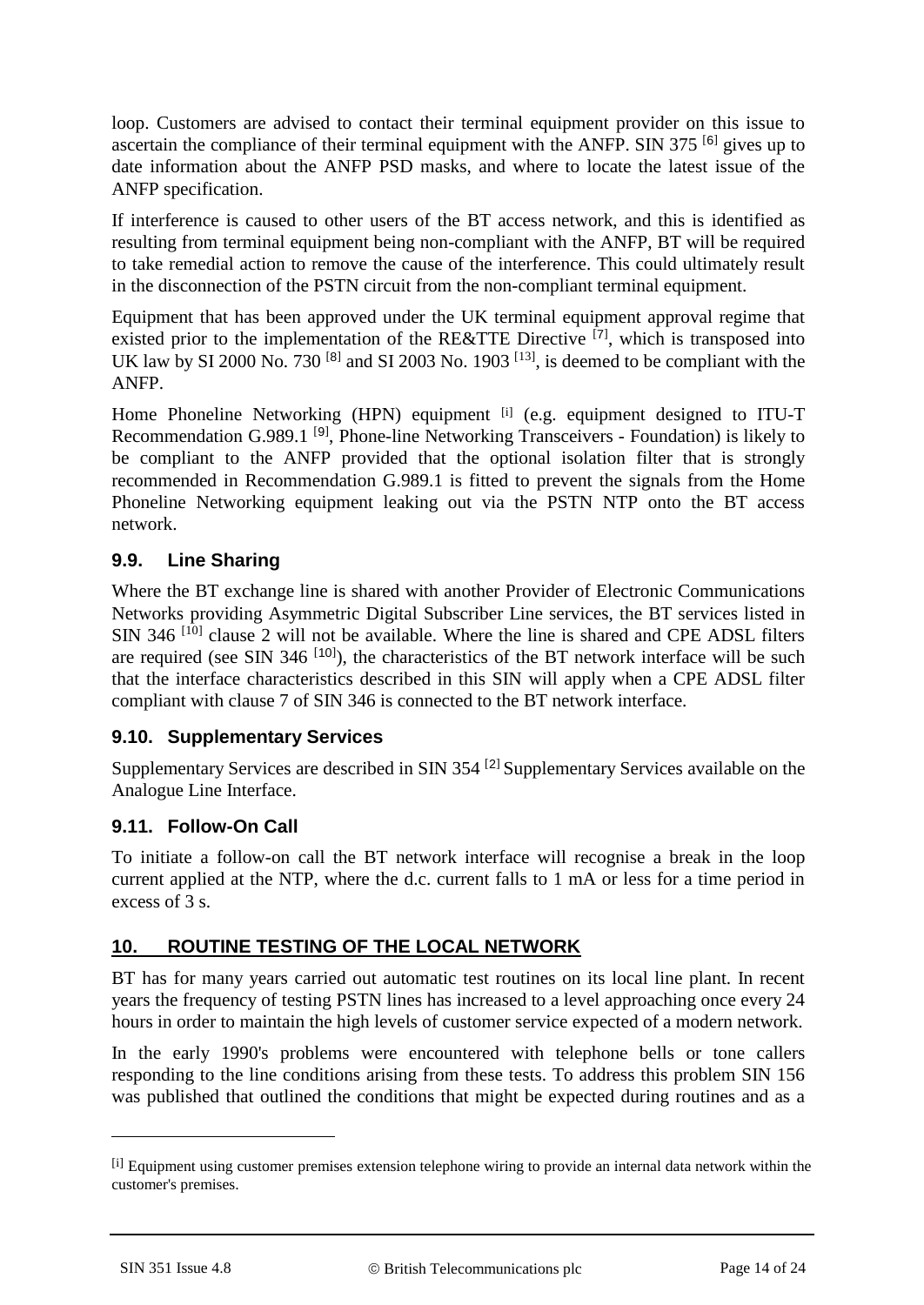loop. Customers are advised to contact their terminal equipment provider on this issue to ascertain the compliance of their terminal equipment with the ANFP. SIN 375  $^{[6]}$  $^{[6]}$  $^{[6]}$  gives up to date information about the ANFP PSD masks, and where to locate the latest issue of the ANFP specification.

If interference is caused to other users of the BT access network, and this is identified as resulting from terminal equipment being non-compliant with the ANFP, BT will be required to take remedial action to remove the cause of the interference. This could ultimately result in the disconnection of the PSTN circuit from the non-compliant terminal equipment.

Equipment that has been approved under the UK terminal equipment approval regime that existed prior to the implementation of the RE&TTE Directive [[7](#page-17-6)], which is transposed into UK law by SI 2000 No. 730  $^{[8]}$  $^{[8]}$  $^{[8]}$  and SI 2003 No. 1903  $^{[13]}$  $^{[13]}$  $^{[13]}$ , is deemed to be compliant with the ANFP.

Home Phoneline Networking (HPN) equipment <sup>[i]</sup> (e.g. equipment designed to ITU-T Recommendation G.[9](#page-17-9)89.1<sup>[9]</sup>, Phone-line Networking Transceivers - Foundation) is likely to be compliant to the ANFP provided that the optional isolation filter that is strongly recommended in Recommendation G.989.1 is fitted to prevent the signals from the Home Phoneline Networking equipment leaking out via the PSTN NTP onto the BT access network.

## **9.9. Line Sharing**

Where the BT exchange line is shared with another Provider of Electronic Communications Networks providing Asymmetric Digital Subscriber Line services, the BT services listed in SIN 346<sup>[\[10\]](#page-17-10)</sup> clause 2 will not be available. Where the line is shared and CPE ADSL filters are required (see SIN 346  $[10]$  $[10]$  $[10]$ ), the characteristics of the BT network interface will be such that the interface characteristics described in this SIN will apply when a CPE ADSL filter compliant with clause 7 of SIN 346 is connected to the BT network interface.

## **9.10. Supplementary Services**

Supplementary Services are described in SIN 354 [[2](#page-17-2)] Supplementary Services available on the Analogue Line Interface.

## **9.11. Follow-On Call**

To initiate a follow-on call the BT network interface will recognise a break in the loop current applied at the NTP, where the d.c. current falls to 1 mA or less for a time period in excess of 3 s.

## **10. ROUTINE TESTING OF THE LOCAL NETWORK**

BT has for many years carried out automatic test routines on its local line plant. In recent years the frequency of testing PSTN lines has increased to a level approaching once every 24 hours in order to maintain the high levels of customer service expected of a modern network.

In the early 1990's problems were encountered with telephone bells or tone callers responding to the line conditions arising from these tests. To address this problem SIN 156 was published that outlined the conditions that might be expected during routines and as a

1

<sup>[</sup>i] Equipment using customer premises extension telephone wiring to provide an internal data network within the customer's premises.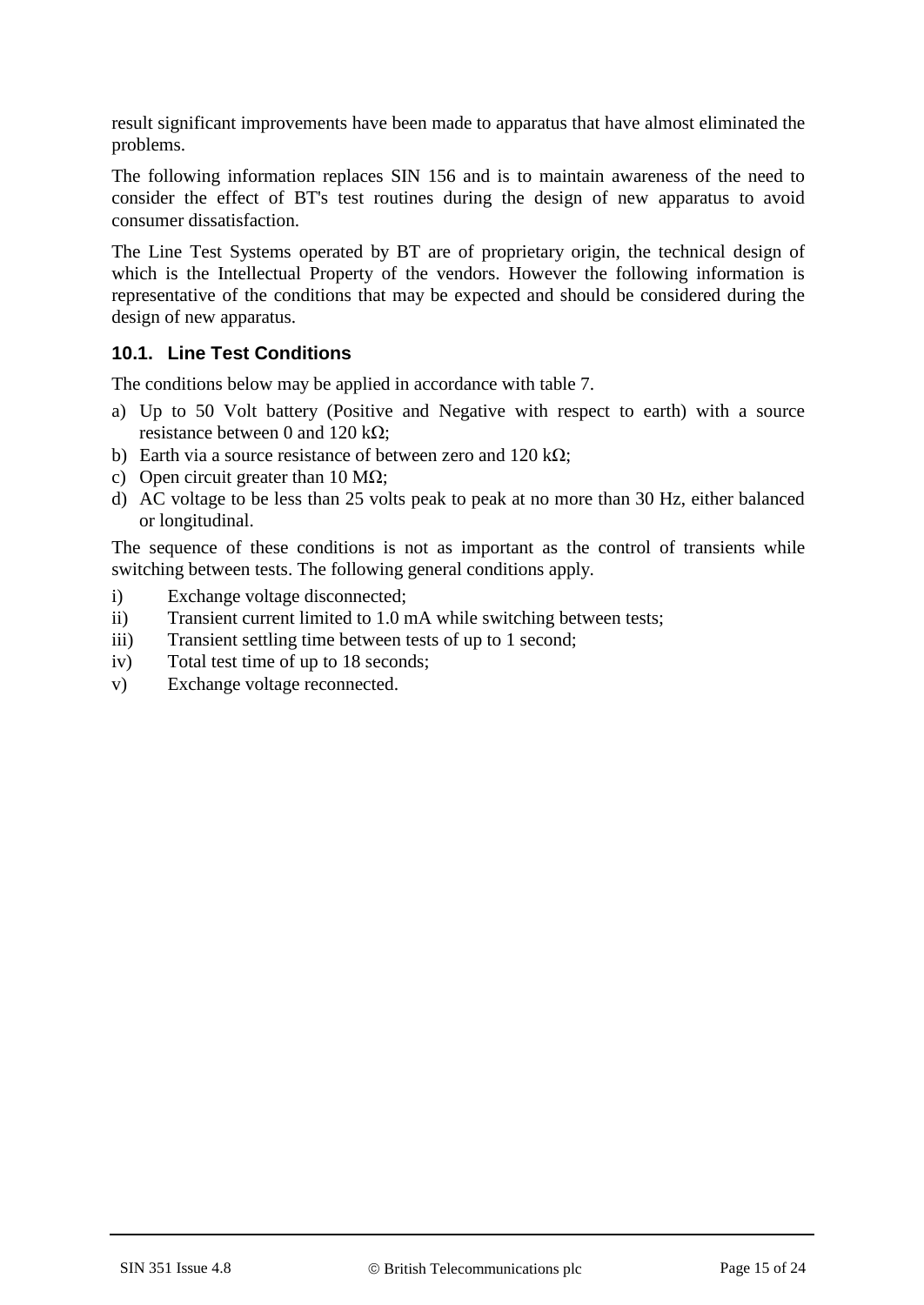result significant improvements have been made to apparatus that have almost eliminated the problems.

The following information replaces SIN 156 and is to maintain awareness of the need to consider the effect of BT's test routines during the design of new apparatus to avoid consumer dissatisfaction.

The Line Test Systems operated by BT are of proprietary origin, the technical design of which is the Intellectual Property of the vendors. However the following information is representative of the conditions that may be expected and should be considered during the design of new apparatus.

#### **10.1. Line Test Conditions**

The conditions below may be applied in accordance with table 7.

- a) Up to 50 Volt battery (Positive and Negative with respect to earth) with a source resistance between 0 and 120 kΩ;
- b) Earth via a source resistance of between zero and  $120 \text{ k}\Omega$ ;
- c) Open circuit greater than 10 M $\Omega$ ;
- d) AC voltage to be less than 25 volts peak to peak at no more than 30 Hz, either balanced or longitudinal.

The sequence of these conditions is not as important as the control of transients while switching between tests. The following general conditions apply.

- i) Exchange voltage disconnected;
- ii) Transient current limited to 1.0 mA while switching between tests;
- iii) Transient settling time between tests of up to 1 second;
- iv) Total test time of up to 18 seconds;
- v) Exchange voltage reconnected.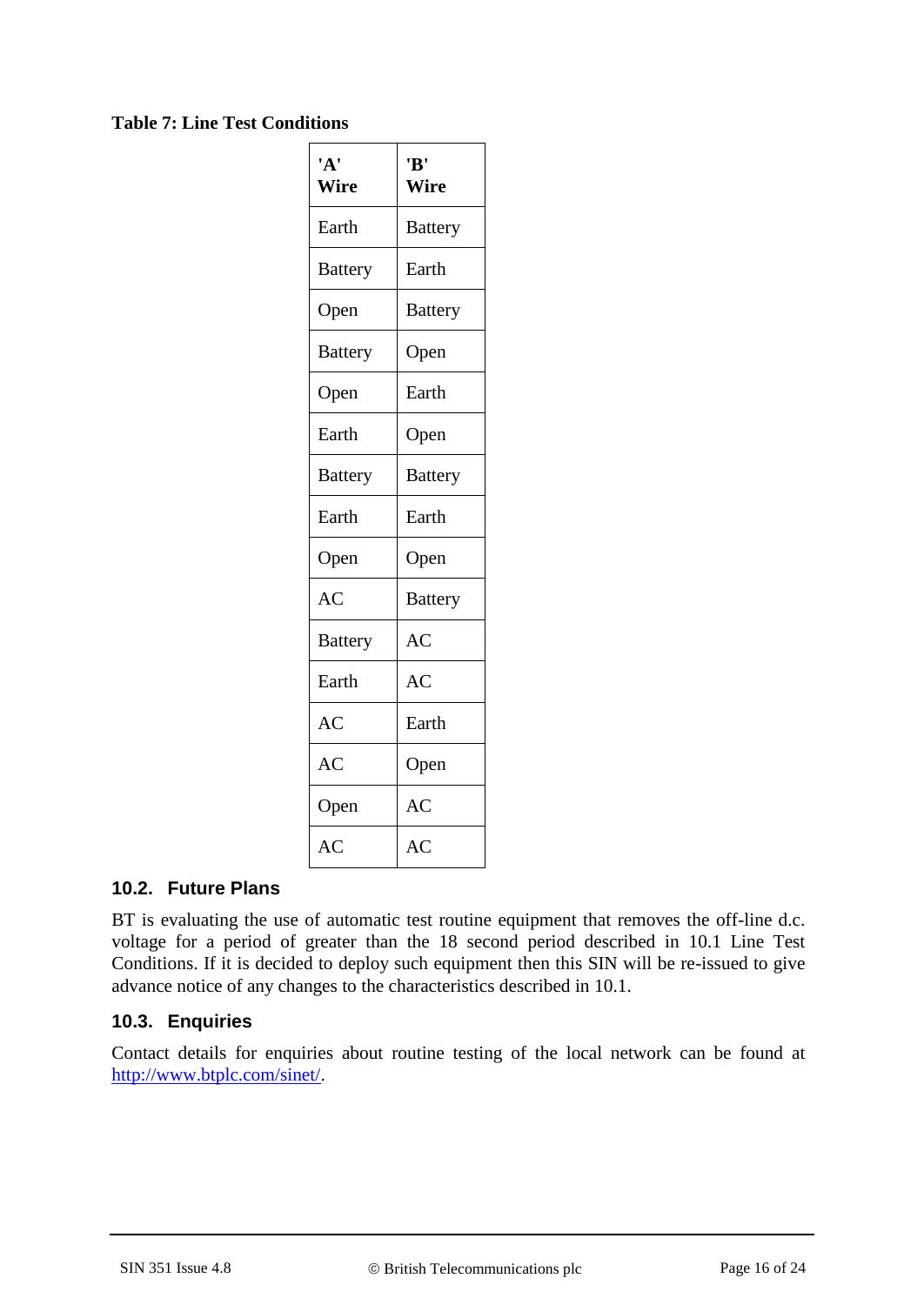#### **Table 7: Line Test Conditions**

| 'A'<br>Wire    | 'B'<br>Wire    |
|----------------|----------------|
| Earth          | <b>Battery</b> |
| <b>Battery</b> | Earth          |
| Open           | <b>Battery</b> |
| <b>Battery</b> | Open           |
| Open           | Earth          |
| Earth          | Open           |
| <b>Battery</b> | <b>Battery</b> |
| Earth          | Earth          |
| Open           | Open           |
| AC             | <b>Battery</b> |
| <b>Battery</b> | AC             |
| Earth          | AC             |
| AC             | Earth          |
| AC             | Open           |
| Open           | AC             |
| AC             | AC             |

#### **10.2. Future Plans**

BT is evaluating the use of automatic test routine equipment that removes the off-line d.c. voltage for a period of greater than the 18 second period described in 10.1 Line Test Conditions. If it is decided to deploy such equipment then this SIN will be re-issued to give advance notice of any changes to the characteristics described in 10.1.

## **10.3. Enquiries**

Contact details for enquiries about routine testing of the local network can be found at http://www.btplc.com/sinet/.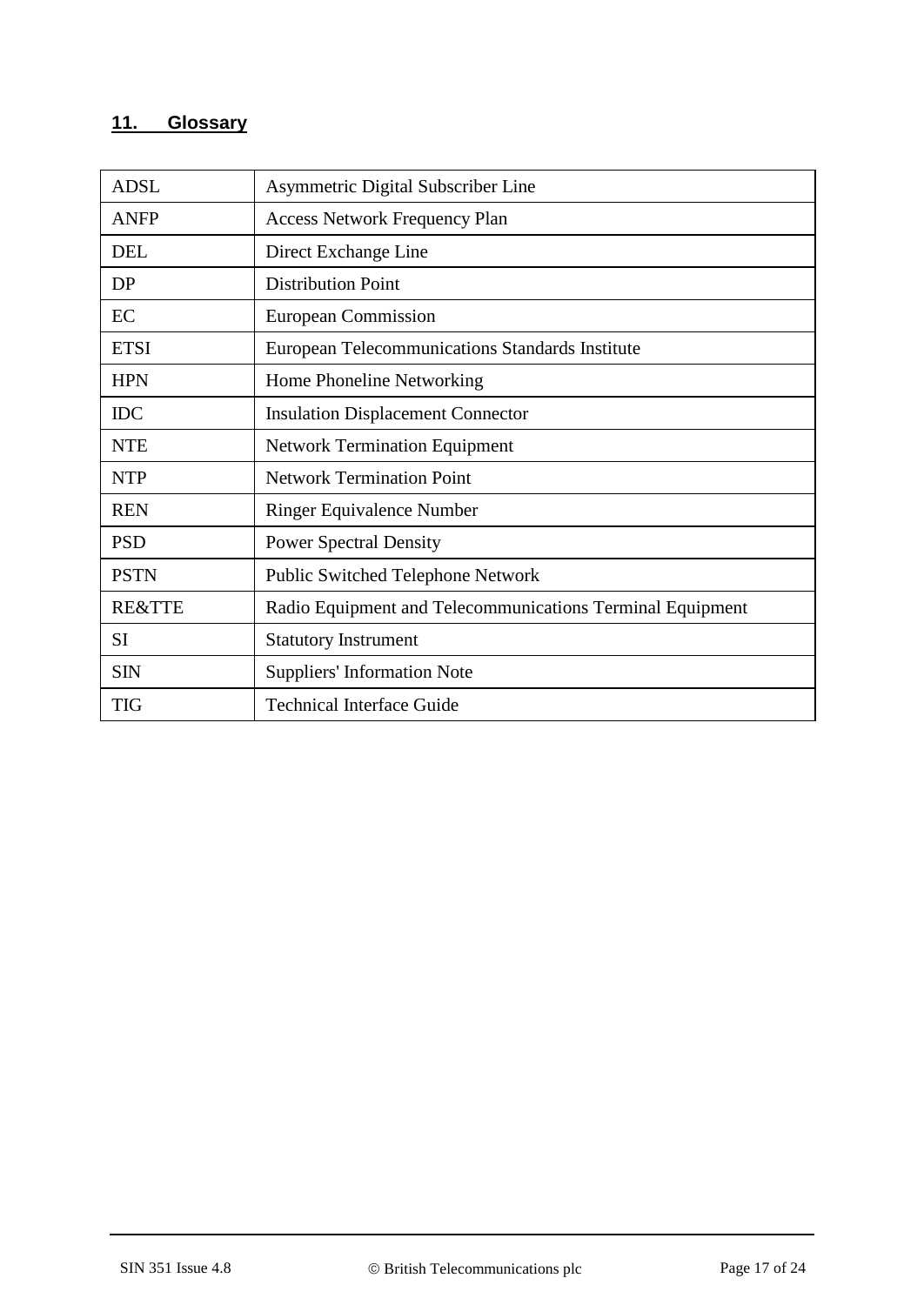# **11. Glossary**

| <b>ADSL</b>       | Asymmetric Digital Subscriber Line                        |
|-------------------|-----------------------------------------------------------|
| <b>ANFP</b>       | <b>Access Network Frequency Plan</b>                      |
| <b>DEL</b>        | Direct Exchange Line                                      |
| DP                | <b>Distribution Point</b>                                 |
| EC                | European Commission                                       |
| <b>ETSI</b>       | European Telecommunications Standards Institute           |
| <b>HPN</b>        | Home Phoneline Networking                                 |
| <b>IDC</b>        | <b>Insulation Displacement Connector</b>                  |
| <b>NTE</b>        | <b>Network Termination Equipment</b>                      |
| <b>NTP</b>        | <b>Network Termination Point</b>                          |
| <b>REN</b>        | <b>Ringer Equivalence Number</b>                          |
| <b>PSD</b>        | <b>Power Spectral Density</b>                             |
| <b>PSTN</b>       | <b>Public Switched Telephone Network</b>                  |
| <b>RE&amp;TTE</b> | Radio Equipment and Telecommunications Terminal Equipment |
| <b>SI</b>         | <b>Statutory Instrument</b>                               |
| <b>SIN</b>        | <b>Suppliers' Information Note</b>                        |
| <b>TIG</b>        | <b>Technical Interface Guide</b>                          |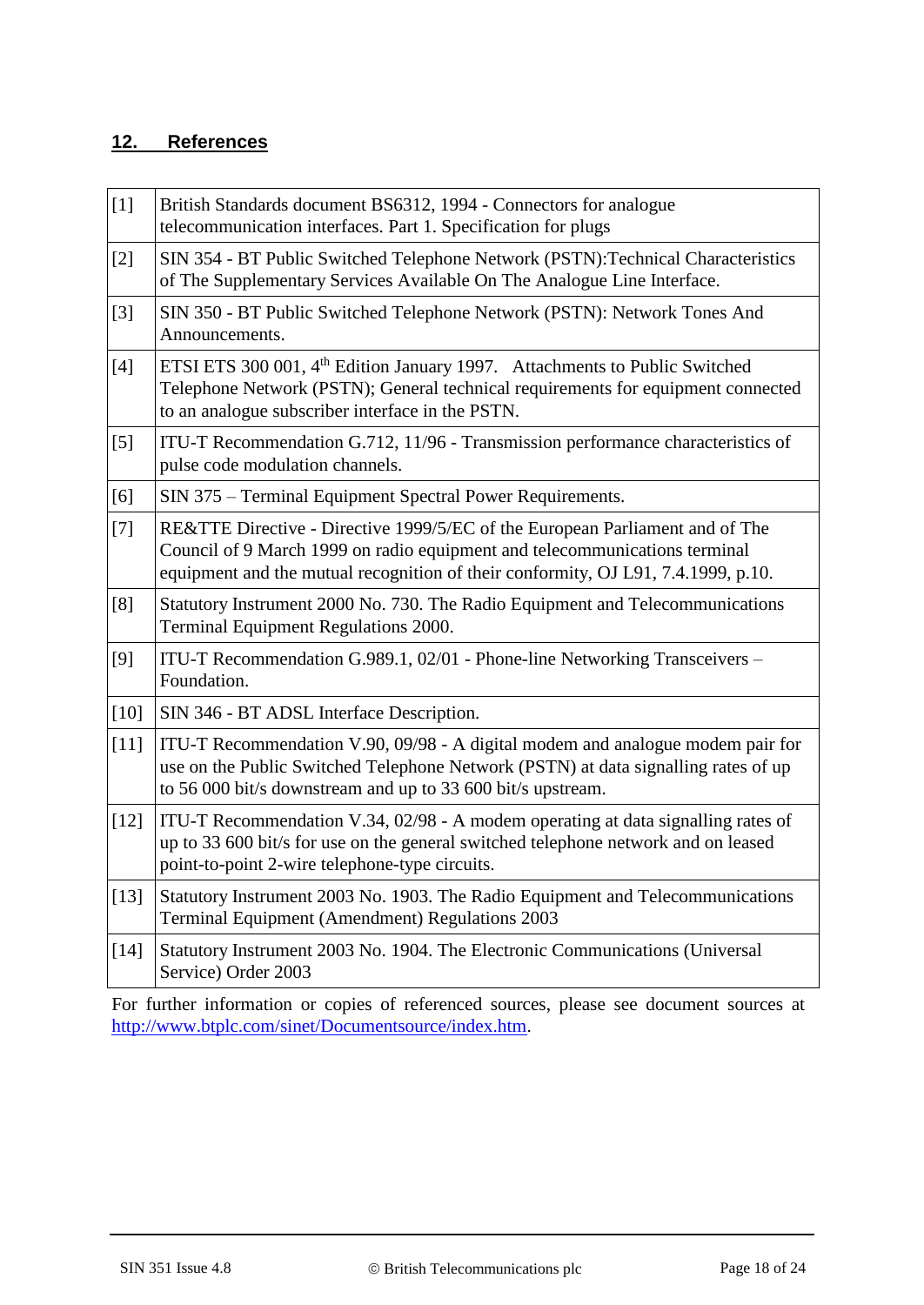## **12. References**

<span id="page-17-7"></span><span id="page-17-6"></span><span id="page-17-5"></span><span id="page-17-4"></span><span id="page-17-3"></span><span id="page-17-2"></span><span id="page-17-1"></span><span id="page-17-0"></span>

| $[1]$  | British Standards document BS6312, 1994 - Connectors for analogue<br>telecommunication interfaces. Part 1. Specification for plugs                                                                                                              |
|--------|-------------------------------------------------------------------------------------------------------------------------------------------------------------------------------------------------------------------------------------------------|
| $[2]$  | SIN 354 - BT Public Switched Telephone Network (PSTN): Technical Characteristics<br>of The Supplementary Services Available On The Analogue Line Interface.                                                                                     |
| $[3]$  | SIN 350 - BT Public Switched Telephone Network (PSTN): Network Tones And<br>Announcements.                                                                                                                                                      |
| $[4]$  | ETSI ETS 300 001, 4 <sup>th</sup> Edition January 1997. Attachments to Public Switched<br>Telephone Network (PSTN); General technical requirements for equipment connected<br>to an analogue subscriber interface in the PSTN.                  |
| $[5]$  | ITU-T Recommendation G.712, 11/96 - Transmission performance characteristics of<br>pulse code modulation channels.                                                                                                                              |
| [6]    | SIN 375 – Terminal Equipment Spectral Power Requirements.                                                                                                                                                                                       |
| $[7]$  | RE&TTE Directive - Directive 1999/5/EC of the European Parliament and of The<br>Council of 9 March 1999 on radio equipment and telecommunications terminal<br>equipment and the mutual recognition of their conformity, OJ L91, 7.4.1999, p.10. |
| [8]    | Statutory Instrument 2000 No. 730. The Radio Equipment and Telecommunications<br>Terminal Equipment Regulations 2000.                                                                                                                           |
| [9]    | ITU-T Recommendation G.989.1, 02/01 - Phone-line Networking Transceivers -<br>Foundation.                                                                                                                                                       |
| $[10]$ | SIN 346 - BT ADSL Interface Description.                                                                                                                                                                                                        |
| $[11]$ | ITU-T Recommendation V.90, 09/98 - A digital modem and analogue modem pair for<br>use on the Public Switched Telephone Network (PSTN) at data signalling rates of up<br>to 56 000 bit/s downstream and up to 33 600 bit/s upstream.             |
| $[12]$ | ITU-T Recommendation V.34, 02/98 - A modem operating at data signalling rates of<br>up to 33 600 bit/s for use on the general switched telephone network and on leased<br>point-to-point 2-wire telephone-type circuits.                        |
| $[13]$ | Statutory Instrument 2003 No. 1903. The Radio Equipment and Telecommunications<br>Terminal Equipment (Amendment) Regulations 2003                                                                                                               |
| $[14]$ | Statutory Instrument 2003 No. 1904. The Electronic Communications (Universal<br>Service) Order 2003                                                                                                                                             |

<span id="page-17-13"></span><span id="page-17-12"></span><span id="page-17-11"></span><span id="page-17-10"></span><span id="page-17-9"></span><span id="page-17-8"></span>For further information or copies of referenced sources, please see document sources at [http://www.btplc.com/sinet/Documentsource/index.htm.](http://www.btplc.com/sinet/Documentsource/index.htm)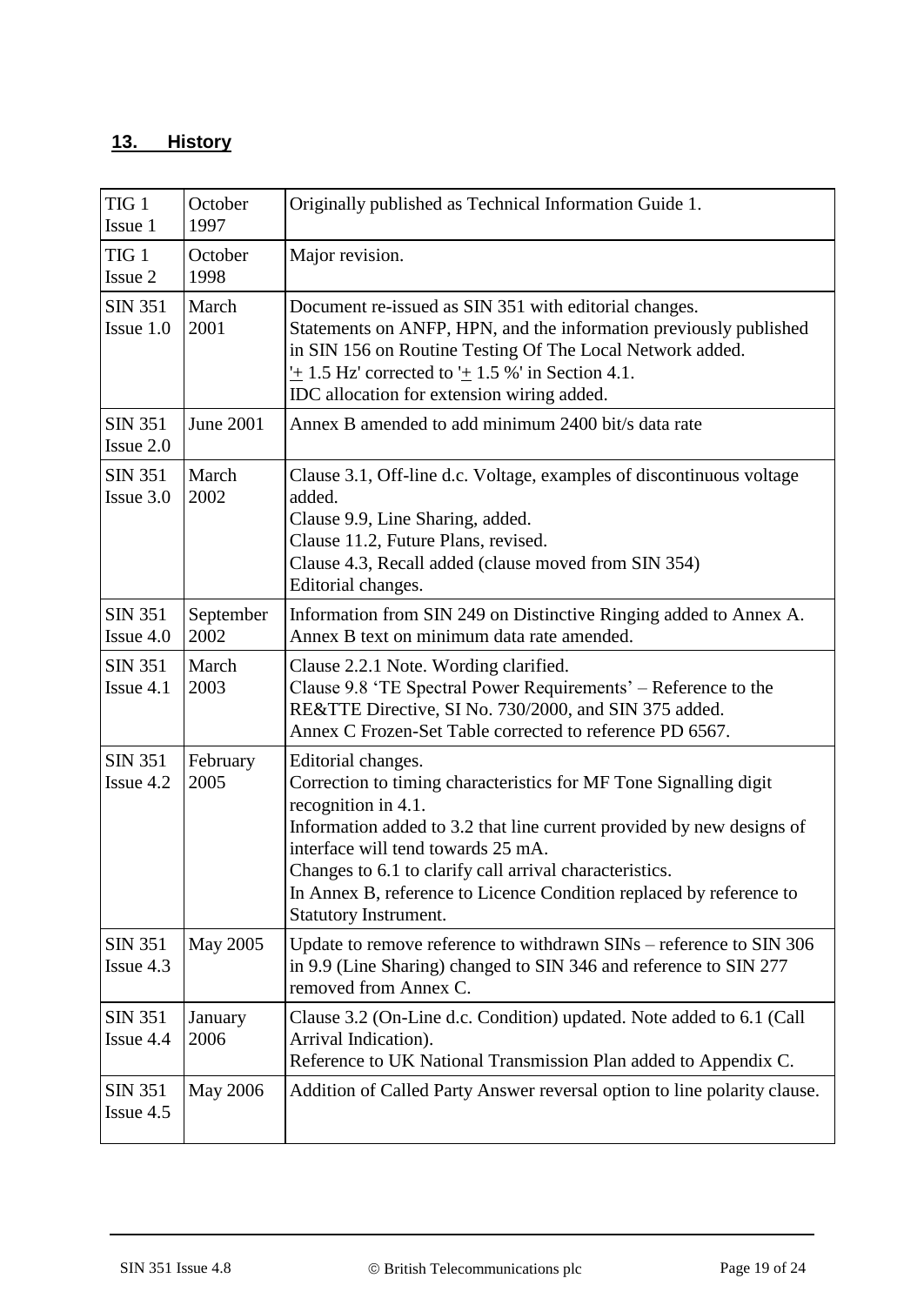## **13. History**

| TIG <sub>1</sub><br>Issue 1   | October<br>1997   | Originally published as Technical Information Guide 1.                                                                                                                                                                                                                                                                                                                                          |  |
|-------------------------------|-------------------|-------------------------------------------------------------------------------------------------------------------------------------------------------------------------------------------------------------------------------------------------------------------------------------------------------------------------------------------------------------------------------------------------|--|
| TIG <sub>1</sub><br>Issue 2   | October<br>1998   | Major revision.                                                                                                                                                                                                                                                                                                                                                                                 |  |
| <b>SIN 351</b><br>Issue 1.0   | March<br>2001     | Document re-issued as SIN 351 with editorial changes.<br>Statements on ANFP, HPN, and the information previously published<br>in SIN 156 on Routine Testing Of The Local Network added.<br>$\pm$ 1.5 Hz' corrected to $\pm$ 1.5 %' in Section 4.1.<br>IDC allocation for extension wiring added.                                                                                                |  |
| <b>SIN 351</b><br>Issue 2.0   | June 2001         | Annex B amended to add minimum 2400 bit/s data rate                                                                                                                                                                                                                                                                                                                                             |  |
| <b>SIN 351</b><br>Issue 3.0   | March<br>2002     | Clause 3.1, Off-line d.c. Voltage, examples of discontinuous voltage<br>added.<br>Clause 9.9, Line Sharing, added.<br>Clause 11.2, Future Plans, revised.<br>Clause 4.3, Recall added (clause moved from SIN 354)<br>Editorial changes.                                                                                                                                                         |  |
| <b>SIN 351</b><br>Issue $4.0$ | September<br>2002 | Information from SIN 249 on Distinctive Ringing added to Annex A.<br>Annex B text on minimum data rate amended.                                                                                                                                                                                                                                                                                 |  |
| <b>SIN 351</b><br>Issue 4.1   | March<br>2003     | Clause 2.2.1 Note. Wording clarified.<br>Clause 9.8 'TE Spectral Power Requirements' – Reference to the<br>RE&TTE Directive, SI No. 730/2000, and SIN 375 added.<br>Annex C Frozen-Set Table corrected to reference PD 6567.                                                                                                                                                                    |  |
| <b>SIN 351</b><br>Issue 4.2   | February<br>2005  | Editorial changes.<br>Correction to timing characteristics for MF Tone Signalling digit<br>recognition in 4.1.<br>Information added to 3.2 that line current provided by new designs of<br>interface will tend towards 25 mA.<br>Changes to 6.1 to clarify call arrival characteristics.<br>In Annex B, reference to Licence Condition replaced by reference to<br><b>Statutory Instrument.</b> |  |
| <b>SIN 351</b><br>Issue 4.3   | May 2005          | Update to remove reference to withdrawn SINs – reference to SIN 306<br>in 9.9 (Line Sharing) changed to SIN 346 and reference to SIN 277<br>removed from Annex C.                                                                                                                                                                                                                               |  |
| <b>SIN 351</b><br>Issue 4.4   | January<br>2006   | Clause 3.2 (On-Line d.c. Condition) updated. Note added to 6.1 (Call<br>Arrival Indication).<br>Reference to UK National Transmission Plan added to Appendix C.                                                                                                                                                                                                                                 |  |
| <b>SIN 351</b><br>Issue 4.5   | <b>May 2006</b>   | Addition of Called Party Answer reversal option to line polarity clause.                                                                                                                                                                                                                                                                                                                        |  |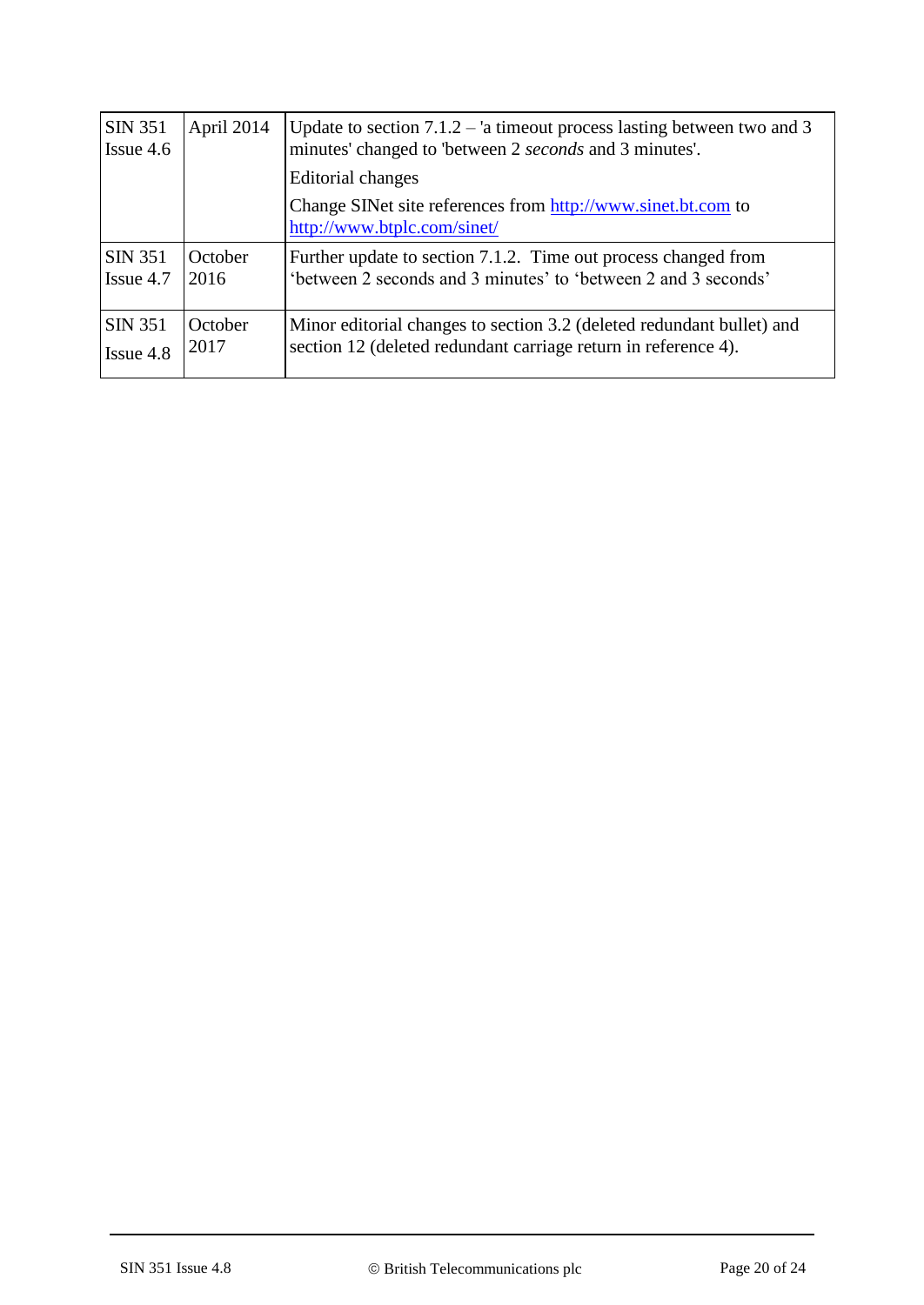| <b>SIN 351</b><br>$I$ ssue 4.6 | April 2014      | Update to section $7.1.2 - i$ a timeout process lasting between two and 3<br>minutes' changed to 'between 2 seconds and 3 minutes'.     |  |
|--------------------------------|-----------------|-----------------------------------------------------------------------------------------------------------------------------------------|--|
|                                |                 | <b>Editorial changes</b>                                                                                                                |  |
|                                |                 | Change SINet site references from http://www.sinet.bt.com to<br>http://www.btplc.com/sinet/                                             |  |
| SIN 351<br>$I$ ssue 4.7        | October<br>2016 | Further update to section 7.1.2. Time out process changed from<br>'between 2 seconds and 3 minutes' to 'between 2 and 3 seconds'        |  |
| <b>SIN 351</b><br>$I$ ssue 4.8 | October<br>2017 | Minor editorial changes to section 3.2 (deleted redundant bullet) and<br>section 12 (deleted redundant carriage return in reference 4). |  |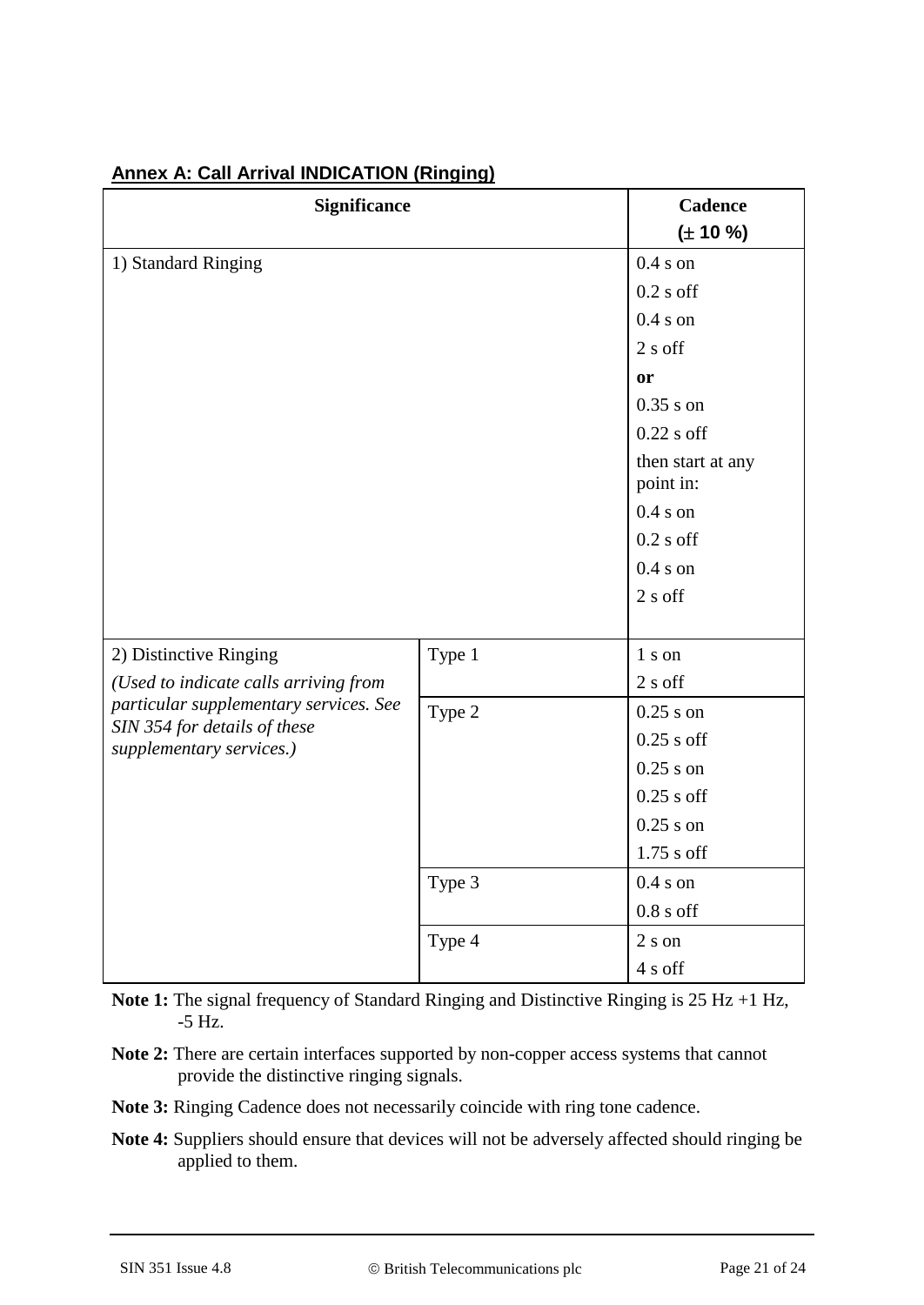| <b>Significance</b>                                      | Cadence                        |              |
|----------------------------------------------------------|--------------------------------|--------------|
|                                                          |                                | $(\pm 10\%)$ |
| 1) Standard Ringing                                      | $0.4 s$ on                     |              |
|                                                          | $0.2$ s off                    |              |
|                                                          | $0.4 s$ on                     |              |
|                                                          | $2 s$ off                      |              |
|                                                          | or                             |              |
|                                                          | $0.35$ s on                    |              |
|                                                          | $0.22$ s off                   |              |
|                                                          | then start at any<br>point in: |              |
|                                                          | $0.4 s$ on                     |              |
|                                                          |                                | $0.2$ s off  |
|                                                          |                                | $0.4 s$ on   |
|                                                          |                                | $2 s$ off    |
|                                                          |                                |              |
| 2) Distinctive Ringing                                   | Type 1                         | 1 s on       |
| (Used to indicate calls arriving from                    |                                | 2 s off      |
| particular supplementary services. See                   | Type 2                         | $0.25$ s on  |
| SIN 354 for details of these<br>supplementary services.) |                                | $0.25$ s off |
|                                                          |                                | $0.25$ s on  |
|                                                          |                                | $0.25$ s off |
|                                                          |                                | $0.25$ s on  |
|                                                          |                                | $1.75$ s off |
|                                                          | Type 3                         | $0.4 s$ on   |
|                                                          |                                | $0.8 s$ off  |
|                                                          | Type 4                         | $2 s$ on     |
|                                                          |                                | 4 s off      |

## **Annex A: Call Arrival INDICATION (Ringing)**

**Note 1:** The signal frequency of Standard Ringing and Distinctive Ringing is 25 Hz +1 Hz, -5 Hz.

- **Note 2:** There are certain interfaces supported by non-copper access systems that cannot provide the distinctive ringing signals.
- **Note 3:** Ringing Cadence does not necessarily coincide with ring tone cadence.
- **Note 4:** Suppliers should ensure that devices will not be adversely affected should ringing be applied to them.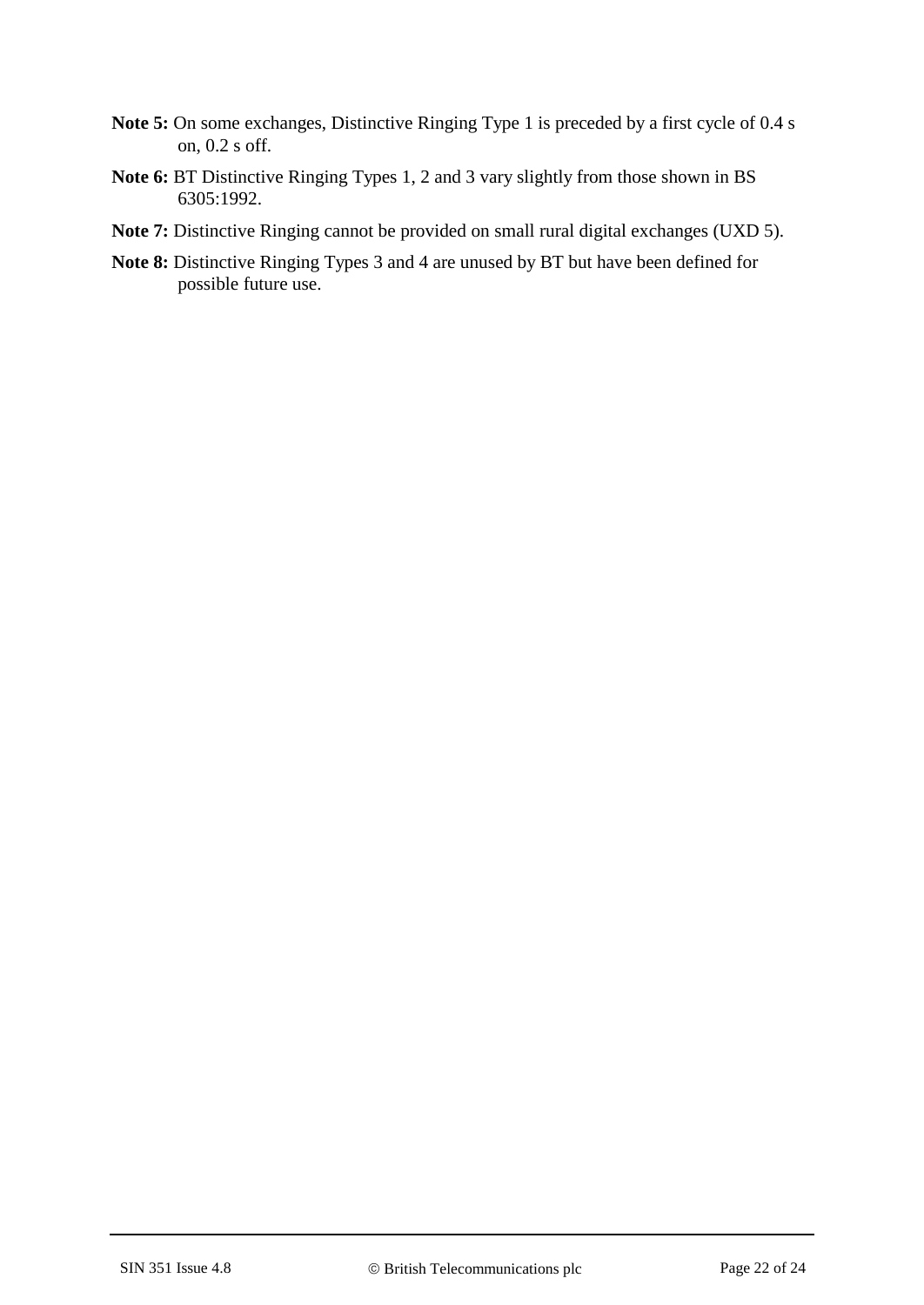- **Note 5:** On some exchanges, Distinctive Ringing Type 1 is preceded by a first cycle of 0.4 s on, 0.2 s off.
- **Note 6:** BT Distinctive Ringing Types 1, 2 and 3 vary slightly from those shown in BS 6305:1992.
- **Note 7:** Distinctive Ringing cannot be provided on small rural digital exchanges (UXD 5).
- **Note 8:** Distinctive Ringing Types 3 and 4 are unused by BT but have been defined for possible future use.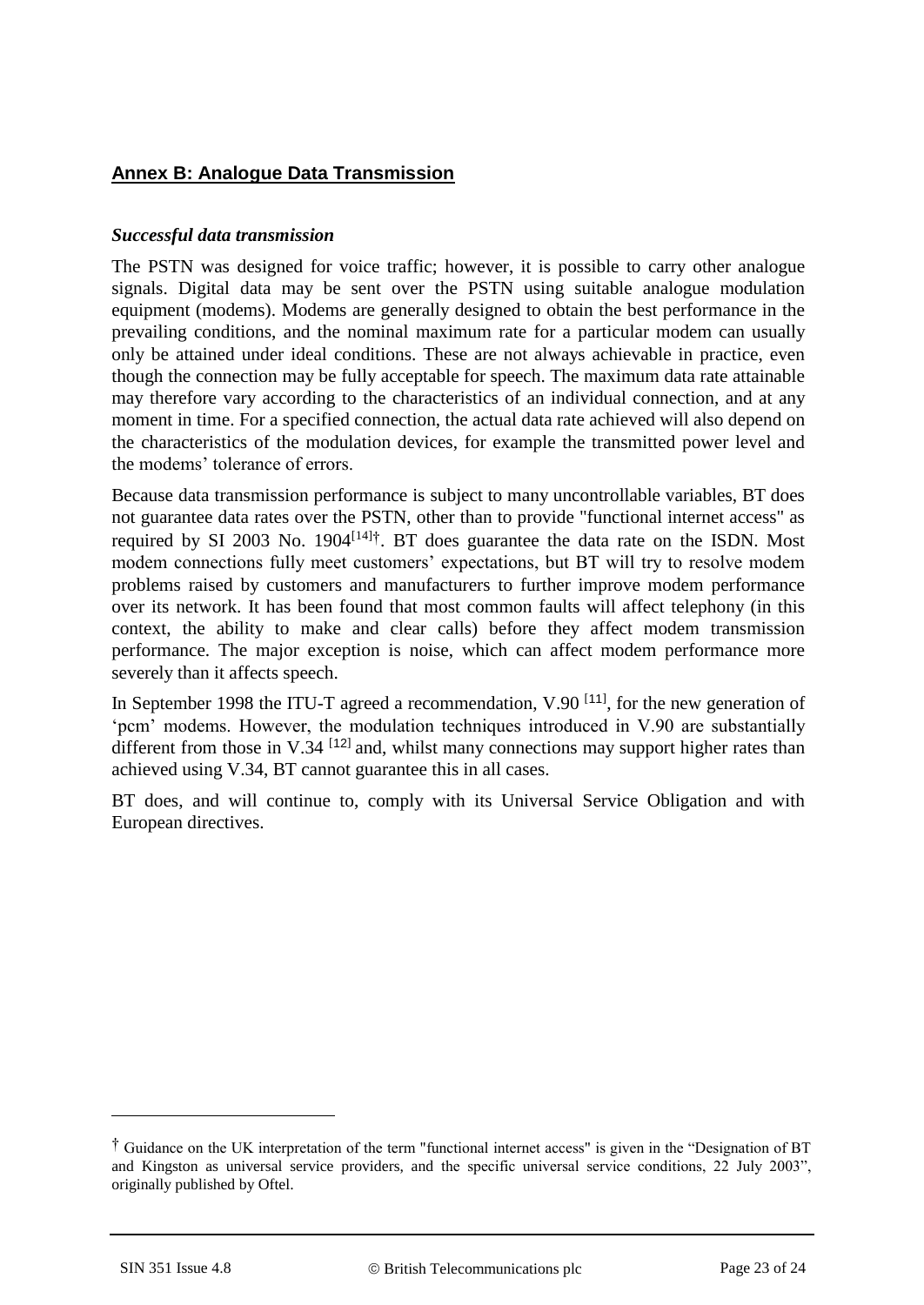## **Annex B: Analogue Data Transmission**

#### *Successful data transmission*

The PSTN was designed for voice traffic; however, it is possible to carry other analogue signals. Digital data may be sent over the PSTN using suitable analogue modulation equipment (modems). Modems are generally designed to obtain the best performance in the prevailing conditions, and the nominal maximum rate for a particular modem can usually only be attained under ideal conditions. These are not always achievable in practice, even though the connection may be fully acceptable for speech. The maximum data rate attainable may therefore vary according to the characteristics of an individual connection, and at any moment in time. For a specified connection, the actual data rate achieved will also depend on the characteristics of the modulation devices, for example the transmitted power level and the modems' tolerance of errors.

Because data transmission performance is subject to many uncontrollable variables, BT does not guarantee data rates over the PSTN, other than to provide "functional internet access" as required by SI 2003 No. 1904[\[14\]](#page-17-11)†. BT does guarantee the data rate on the ISDN. Most modem connections fully meet customers' expectations, but BT will try to resolve modem problems raised by customers and manufacturers to further improve modem performance over its network. It has been found that most common faults will affect telephony (in this context, the ability to make and clear calls) before they affect modem transmission performance. The major exception is noise, which can affect modem performance more severely than it affects speech.

In September 1998 the ITU-T agreed a recommendation, V.90  $[11]$  $[11]$  $[11]$ , for the new generation of 'pcm' modems. However, the modulation techniques introduced in V.90 are substantially different from those in V.34  $[12]$  $[12]$  $[12]$  and, whilst many connections may support higher rates than achieved using V.34, BT cannot guarantee this in all cases.

BT does, and will continue to, comply with its Universal Service Obligation and with European directives.

1

<sup>†</sup> Guidance on the UK interpretation of the term "functional internet access" is given in the "Designation of BT and Kingston as universal service providers, and the specific universal service conditions, 22 July 2003", originally published by Oftel.